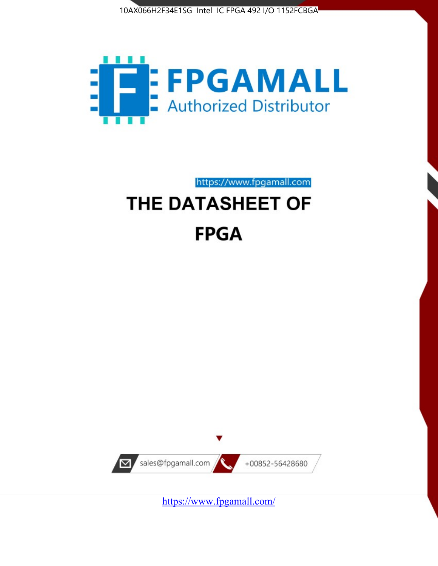



https://www.fpgamall.com

# THE DATASHEET OF **FPGA**



<https://www.fpgamall.com/>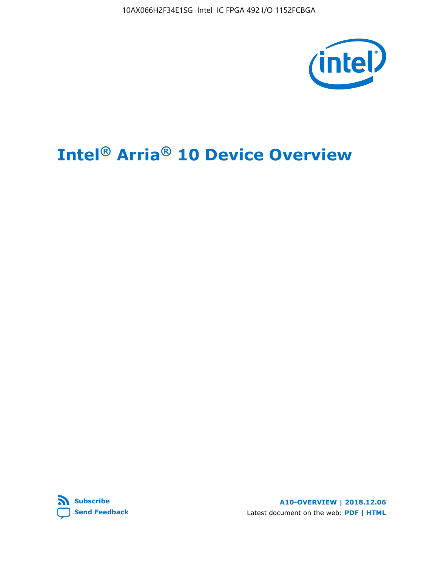10AX066H2F34E1SG Intel IC FPGA 492 I/O 1152FCBGA



# **Intel® Arria® 10 Device Overview**



**A10-OVERVIEW | 2018.12.06** Latest document on the web: **[PDF](https://www.intel.com/content/dam/www/programmable/us/en/pdfs/literature/hb/arria-10/a10_overview.pdf)** | **[HTML](https://www.intel.com/content/www/us/en/programmable/documentation/sam1403480274650.html)**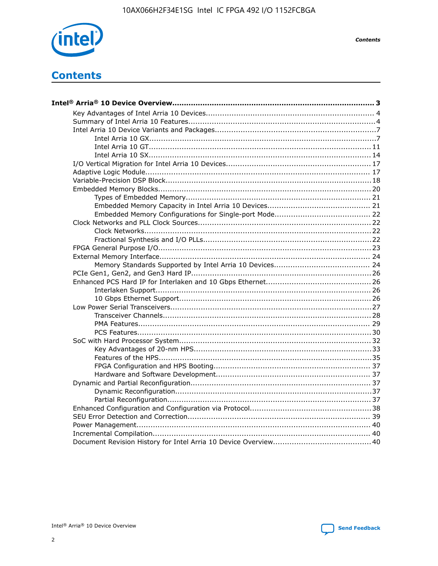

**Contents** 

# **Contents**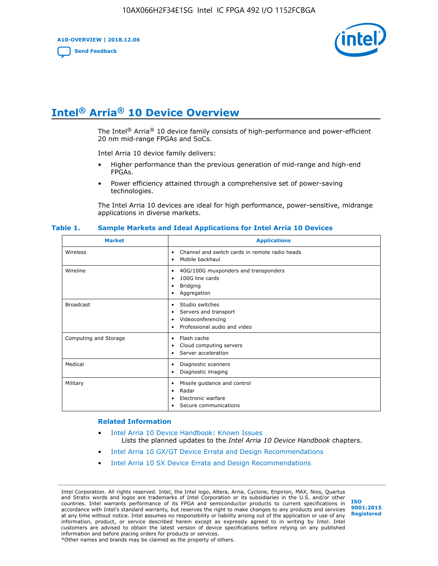**A10-OVERVIEW | 2018.12.06**

**[Send Feedback](mailto:FPGAtechdocfeedback@intel.com?subject=Feedback%20on%20Intel%20Arria%2010%20Device%20Overview%20(A10-OVERVIEW%202018.12.06)&body=We%20appreciate%20your%20feedback.%20In%20your%20comments,%20also%20specify%20the%20page%20number%20or%20paragraph.%20Thank%20you.)**



# **Intel® Arria® 10 Device Overview**

The Intel<sup>®</sup> Arria<sup>®</sup> 10 device family consists of high-performance and power-efficient 20 nm mid-range FPGAs and SoCs.

Intel Arria 10 device family delivers:

- Higher performance than the previous generation of mid-range and high-end FPGAs.
- Power efficiency attained through a comprehensive set of power-saving technologies.

The Intel Arria 10 devices are ideal for high performance, power-sensitive, midrange applications in diverse markets.

| <b>Market</b>         | <b>Applications</b>                                                                                               |
|-----------------------|-------------------------------------------------------------------------------------------------------------------|
| Wireless              | Channel and switch cards in remote radio heads<br>٠<br>Mobile backhaul<br>٠                                       |
| Wireline              | 40G/100G muxponders and transponders<br>٠<br>100G line cards<br>٠<br><b>Bridging</b><br>٠<br>Aggregation<br>٠     |
| <b>Broadcast</b>      | Studio switches<br>٠<br>Servers and transport<br>٠<br>Videoconferencing<br>٠<br>Professional audio and video<br>٠ |
| Computing and Storage | Flash cache<br>٠<br>Cloud computing servers<br>٠<br>Server acceleration<br>٠                                      |
| Medical               | Diagnostic scanners<br>٠<br>Diagnostic imaging<br>٠                                                               |
| Military              | Missile guidance and control<br>٠<br>Radar<br>٠<br>Electronic warfare<br>٠<br>Secure communications<br>٠          |

#### **Table 1. Sample Markets and Ideal Applications for Intel Arria 10 Devices**

#### **Related Information**

- [Intel Arria 10 Device Handbook: Known Issues](http://www.altera.com/support/kdb/solutions/rd07302013_646.html) Lists the planned updates to the *Intel Arria 10 Device Handbook* chapters.
- [Intel Arria 10 GX/GT Device Errata and Design Recommendations](https://www.intel.com/content/www/us/en/programmable/documentation/agz1493851706374.html#yqz1494433888646)
- [Intel Arria 10 SX Device Errata and Design Recommendations](https://www.intel.com/content/www/us/en/programmable/documentation/cru1462832385668.html#cru1462832558642)

Intel Corporation. All rights reserved. Intel, the Intel logo, Altera, Arria, Cyclone, Enpirion, MAX, Nios, Quartus and Stratix words and logos are trademarks of Intel Corporation or its subsidiaries in the U.S. and/or other countries. Intel warrants performance of its FPGA and semiconductor products to current specifications in accordance with Intel's standard warranty, but reserves the right to make changes to any products and services at any time without notice. Intel assumes no responsibility or liability arising out of the application or use of any information, product, or service described herein except as expressly agreed to in writing by Intel. Intel customers are advised to obtain the latest version of device specifications before relying on any published information and before placing orders for products or services. \*Other names and brands may be claimed as the property of others.

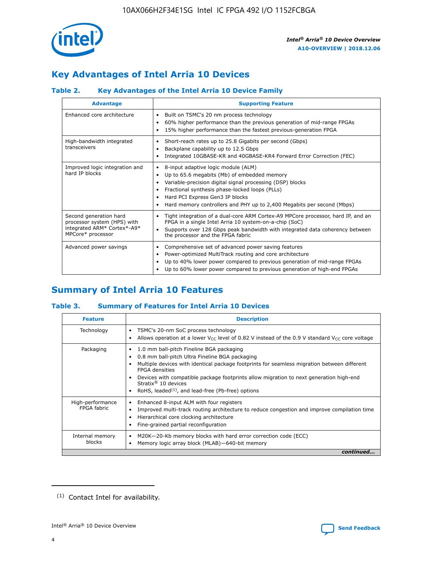

# **Key Advantages of Intel Arria 10 Devices**

## **Table 2. Key Advantages of the Intel Arria 10 Device Family**

| <b>Advantage</b>                                                                                          | <b>Supporting Feature</b>                                                                                                                                                                                                                                                                                                |
|-----------------------------------------------------------------------------------------------------------|--------------------------------------------------------------------------------------------------------------------------------------------------------------------------------------------------------------------------------------------------------------------------------------------------------------------------|
| Enhanced core architecture                                                                                | Built on TSMC's 20 nm process technology<br>٠<br>60% higher performance than the previous generation of mid-range FPGAs<br>٠<br>15% higher performance than the fastest previous-generation FPGA<br>٠                                                                                                                    |
| High-bandwidth integrated<br>transceivers                                                                 | Short-reach rates up to 25.8 Gigabits per second (Gbps)<br>٠<br>Backplane capability up to 12.5 Gbps<br>٠<br>Integrated 10GBASE-KR and 40GBASE-KR4 Forward Error Correction (FEC)<br>٠                                                                                                                                   |
| Improved logic integration and<br>hard IP blocks                                                          | 8-input adaptive logic module (ALM)<br>٠<br>Up to 65.6 megabits (Mb) of embedded memory<br>٠<br>Variable-precision digital signal processing (DSP) blocks<br>Fractional synthesis phase-locked loops (PLLs)<br>Hard PCI Express Gen3 IP blocks<br>Hard memory controllers and PHY up to 2,400 Megabits per second (Mbps) |
| Second generation hard<br>processor system (HPS) with<br>integrated ARM* Cortex*-A9*<br>MPCore* processor | Tight integration of a dual-core ARM Cortex-A9 MPCore processor, hard IP, and an<br>٠<br>FPGA in a single Intel Arria 10 system-on-a-chip (SoC)<br>Supports over 128 Gbps peak bandwidth with integrated data coherency between<br>$\bullet$<br>the processor and the FPGA fabric                                        |
| Advanced power savings                                                                                    | Comprehensive set of advanced power saving features<br>٠<br>Power-optimized MultiTrack routing and core architecture<br>٠<br>Up to 40% lower power compared to previous generation of mid-range FPGAs<br>Up to 60% lower power compared to previous generation of high-end FPGAs                                         |

# **Summary of Intel Arria 10 Features**

## **Table 3. Summary of Features for Intel Arria 10 Devices**

| <b>Feature</b>                  | <b>Description</b>                                                                                                                                                                                                                                                                                                                                                                                 |
|---------------------------------|----------------------------------------------------------------------------------------------------------------------------------------------------------------------------------------------------------------------------------------------------------------------------------------------------------------------------------------------------------------------------------------------------|
| Technology                      | TSMC's 20-nm SoC process technology<br>Allows operation at a lower $V_{\text{CC}}$ level of 0.82 V instead of the 0.9 V standard $V_{\text{CC}}$ core voltage                                                                                                                                                                                                                                      |
| Packaging                       | 1.0 mm ball-pitch Fineline BGA packaging<br>٠<br>0.8 mm ball-pitch Ultra Fineline BGA packaging<br>Multiple devices with identical package footprints for seamless migration between different<br><b>FPGA</b> densities<br>Devices with compatible package footprints allow migration to next generation high-end<br>Stratix $@10$ devices<br>RoHS, leaded $(1)$ , and lead-free (Pb-free) options |
| High-performance<br>FPGA fabric | Enhanced 8-input ALM with four registers<br>Improved multi-track routing architecture to reduce congestion and improve compilation time<br>Hierarchical core clocking architecture<br>Fine-grained partial reconfiguration                                                                                                                                                                         |
| Internal memory<br>blocks       | M20K-20-Kb memory blocks with hard error correction code (ECC)<br>Memory logic array block (MLAB)-640-bit memory                                                                                                                                                                                                                                                                                   |
|                                 | continued                                                                                                                                                                                                                                                                                                                                                                                          |



<sup>(1)</sup> Contact Intel for availability.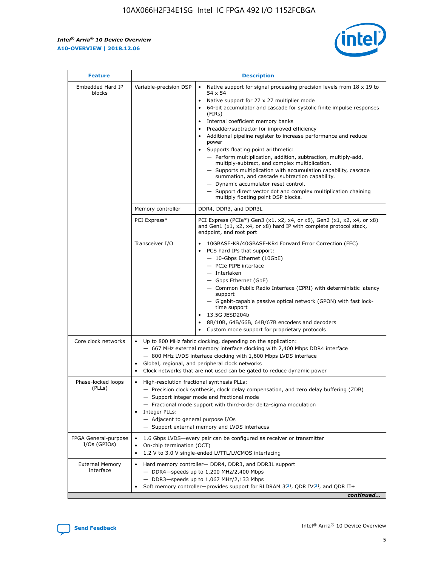r



| <b>Feature</b>                         |                                                                                                                | <b>Description</b>                                                                                                                                                                                                                                                                                                                                                                                                                                                                                                                                                                                                                                                                                                                                                                                                                     |  |  |  |  |  |  |
|----------------------------------------|----------------------------------------------------------------------------------------------------------------|----------------------------------------------------------------------------------------------------------------------------------------------------------------------------------------------------------------------------------------------------------------------------------------------------------------------------------------------------------------------------------------------------------------------------------------------------------------------------------------------------------------------------------------------------------------------------------------------------------------------------------------------------------------------------------------------------------------------------------------------------------------------------------------------------------------------------------------|--|--|--|--|--|--|
| Embedded Hard IP<br>blocks             | Variable-precision DSP                                                                                         | Native support for signal processing precision levels from $18 \times 19$ to<br>54 x 54<br>Native support for 27 x 27 multiplier mode<br>64-bit accumulator and cascade for systolic finite impulse responses<br>(FIRs)<br>Internal coefficient memory banks<br>$\bullet$<br>Preadder/subtractor for improved efficiency<br>Additional pipeline register to increase performance and reduce<br>power<br>Supports floating point arithmetic:<br>- Perform multiplication, addition, subtraction, multiply-add,<br>multiply-subtract, and complex multiplication.<br>- Supports multiplication with accumulation capability, cascade<br>summation, and cascade subtraction capability.<br>- Dynamic accumulator reset control.<br>- Support direct vector dot and complex multiplication chaining<br>multiply floating point DSP blocks. |  |  |  |  |  |  |
|                                        | Memory controller                                                                                              | DDR4, DDR3, and DDR3L                                                                                                                                                                                                                                                                                                                                                                                                                                                                                                                                                                                                                                                                                                                                                                                                                  |  |  |  |  |  |  |
|                                        | PCI Express*                                                                                                   | PCI Express (PCIe*) Gen3 (x1, x2, x4, or x8), Gen2 (x1, x2, x4, or x8)<br>and Gen1 (x1, x2, x4, or x8) hard IP with complete protocol stack,<br>endpoint, and root port                                                                                                                                                                                                                                                                                                                                                                                                                                                                                                                                                                                                                                                                |  |  |  |  |  |  |
|                                        | Transceiver I/O                                                                                                | 10GBASE-KR/40GBASE-KR4 Forward Error Correction (FEC)<br>PCS hard IPs that support:<br>$\bullet$<br>- 10-Gbps Ethernet (10GbE)<br>- PCIe PIPE interface<br>$-$ Interlaken<br>- Gbps Ethernet (GbE)<br>- Common Public Radio Interface (CPRI) with deterministic latency<br>support<br>- Gigabit-capable passive optical network (GPON) with fast lock-<br>time support<br>13.5G JESD204b<br>$\bullet$<br>8B/10B, 64B/66B, 64B/67B encoders and decoders<br>Custom mode support for proprietary protocols                                                                                                                                                                                                                                                                                                                               |  |  |  |  |  |  |
| Core clock networks                    | $\bullet$<br>$\bullet$                                                                                         | Up to 800 MHz fabric clocking, depending on the application:<br>- 667 MHz external memory interface clocking with 2,400 Mbps DDR4 interface<br>- 800 MHz LVDS interface clocking with 1,600 Mbps LVDS interface<br>Global, regional, and peripheral clock networks<br>Clock networks that are not used can be gated to reduce dynamic power                                                                                                                                                                                                                                                                                                                                                                                                                                                                                            |  |  |  |  |  |  |
| Phase-locked loops<br>(PLLs)           | High-resolution fractional synthesis PLLs:<br>$\bullet$<br>Integer PLLs:<br>- Adjacent to general purpose I/Os | - Precision clock synthesis, clock delay compensation, and zero delay buffering (ZDB)<br>- Support integer mode and fractional mode<br>- Fractional mode support with third-order delta-sigma modulation<br>- Support external memory and LVDS interfaces                                                                                                                                                                                                                                                                                                                                                                                                                                                                                                                                                                              |  |  |  |  |  |  |
| FPGA General-purpose<br>$I/Os$ (GPIOs) | On-chip termination (OCT)                                                                                      | 1.6 Gbps LVDS-every pair can be configured as receiver or transmitter<br>1.2 V to 3.0 V single-ended LVTTL/LVCMOS interfacing                                                                                                                                                                                                                                                                                                                                                                                                                                                                                                                                                                                                                                                                                                          |  |  |  |  |  |  |
| <b>External Memory</b><br>Interface    |                                                                                                                | Hard memory controller- DDR4, DDR3, and DDR3L support<br>$-$ DDR4-speeds up to 1,200 MHz/2,400 Mbps<br>- DDR3-speeds up to 1,067 MHz/2,133 Mbps<br>Soft memory controller—provides support for RLDRAM $3^{(2)}$ , QDR IV $^{(2)}$ , and QDR II+<br>continued                                                                                                                                                                                                                                                                                                                                                                                                                                                                                                                                                                           |  |  |  |  |  |  |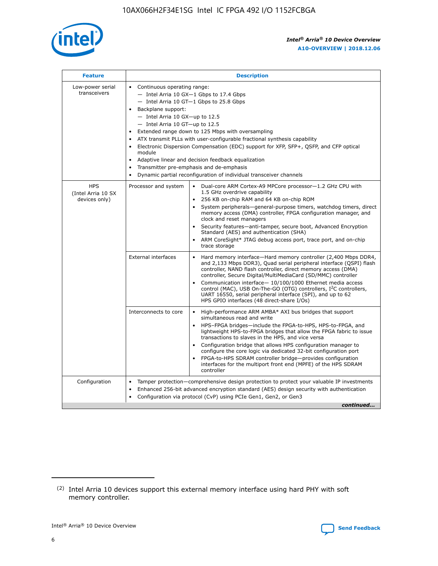

| <b>Feature</b>                                    | <b>Description</b>                                                                                                                                                                                                                                                                                                                                                                                                                                                                                                                                                                                                                           |  |  |  |  |  |  |  |  |
|---------------------------------------------------|----------------------------------------------------------------------------------------------------------------------------------------------------------------------------------------------------------------------------------------------------------------------------------------------------------------------------------------------------------------------------------------------------------------------------------------------------------------------------------------------------------------------------------------------------------------------------------------------------------------------------------------------|--|--|--|--|--|--|--|--|
| Low-power serial<br>transceivers                  | • Continuous operating range:<br>- Intel Arria 10 GX-1 Gbps to 17.4 Gbps<br>- Intel Arria 10 GT-1 Gbps to 25.8 Gbps<br>Backplane support:<br>$-$ Intel Arria 10 GX-up to 12.5<br>- Intel Arria 10 GT-up to 12.5<br>Extended range down to 125 Mbps with oversampling<br>ATX transmit PLLs with user-configurable fractional synthesis capability<br>• Electronic Dispersion Compensation (EDC) support for XFP, SFP+, QSFP, and CFP optical<br>module<br>• Adaptive linear and decision feedback equalization<br>Transmitter pre-emphasis and de-emphasis<br>$\bullet$<br>Dynamic partial reconfiguration of individual transceiver channels |  |  |  |  |  |  |  |  |
| <b>HPS</b><br>(Intel Arria 10 SX<br>devices only) | Dual-core ARM Cortex-A9 MPCore processor-1.2 GHz CPU with<br>Processor and system<br>$\bullet$<br>1.5 GHz overdrive capability<br>256 KB on-chip RAM and 64 KB on-chip ROM<br>System peripherals-general-purpose timers, watchdog timers, direct<br>memory access (DMA) controller, FPGA configuration manager, and<br>clock and reset managers<br>• Security features—anti-tamper, secure boot, Advanced Encryption<br>Standard (AES) and authentication (SHA)<br>ARM CoreSight* JTAG debug access port, trace port, and on-chip<br>trace storage                                                                                           |  |  |  |  |  |  |  |  |
|                                                   | <b>External interfaces</b><br>Hard memory interface—Hard memory controller (2,400 Mbps DDR4,<br>$\bullet$<br>and 2,133 Mbps DDR3), Quad serial peripheral interface (QSPI) flash<br>controller, NAND flash controller, direct memory access (DMA)<br>controller, Secure Digital/MultiMediaCard (SD/MMC) controller<br>Communication interface-10/100/1000 Ethernet media access<br>control (MAC), USB On-The-GO (OTG) controllers, I <sup>2</sup> C controllers,<br>UART 16550, serial peripheral interface (SPI), and up to 62<br>HPS GPIO interfaces (48 direct-share I/Os)                                                                |  |  |  |  |  |  |  |  |
|                                                   | High-performance ARM AMBA* AXI bus bridges that support<br>Interconnects to core<br>$\bullet$<br>simultaneous read and write<br>HPS-FPGA bridges—include the FPGA-to-HPS, HPS-to-FPGA, and<br>lightweight HPS-to-FPGA bridges that allow the FPGA fabric to issue<br>transactions to slaves in the HPS, and vice versa<br>Configuration bridge that allows HPS configuration manager to<br>configure the core logic via dedicated 32-bit configuration port<br>FPGA-to-HPS SDRAM controller bridge-provides configuration<br>interfaces for the multiport front end (MPFE) of the HPS SDRAM<br>controller                                    |  |  |  |  |  |  |  |  |
| Configuration                                     | Tamper protection—comprehensive design protection to protect your valuable IP investments<br>Enhanced 256-bit advanced encryption standard (AES) design security with authentication<br>٠<br>Configuration via protocol (CvP) using PCIe Gen1, Gen2, or Gen3<br>continued                                                                                                                                                                                                                                                                                                                                                                    |  |  |  |  |  |  |  |  |

<sup>(2)</sup> Intel Arria 10 devices support this external memory interface using hard PHY with soft memory controller.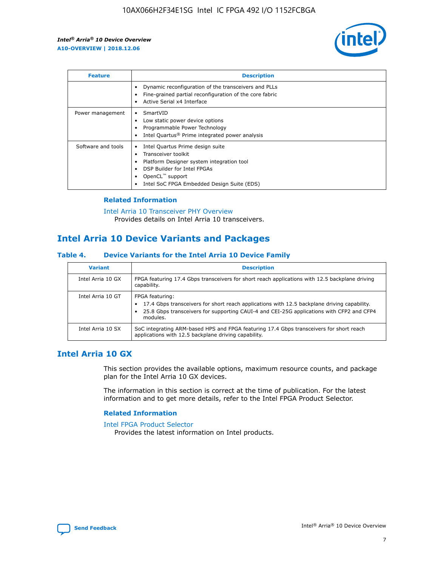

| <b>Feature</b>     | <b>Description</b>                                                                                                                                                                                                            |
|--------------------|-------------------------------------------------------------------------------------------------------------------------------------------------------------------------------------------------------------------------------|
|                    | Dynamic reconfiguration of the transceivers and PLLs<br>Fine-grained partial reconfiguration of the core fabric<br>Active Serial x4 Interface<br>$\bullet$                                                                    |
| Power management   | SmartVID<br>Low static power device options<br>Programmable Power Technology<br>Intel Quartus <sup>®</sup> Prime integrated power analysis                                                                                    |
| Software and tools | Intel Quartus Prime design suite<br>Transceiver toolkit<br>$\bullet$<br>Platform Designer system integration tool<br>DSP Builder for Intel FPGAs<br>OpenCL <sup>™</sup> support<br>Intel SoC FPGA Embedded Design Suite (EDS) |

## **Related Information**

[Intel Arria 10 Transceiver PHY Overview](https://www.intel.com/content/www/us/en/programmable/documentation/nik1398707230472.html#nik1398706768037) Provides details on Intel Arria 10 transceivers.

## **Intel Arria 10 Device Variants and Packages**

#### **Table 4. Device Variants for the Intel Arria 10 Device Family**

| <b>Variant</b>    | <b>Description</b>                                                                                                                                                                                                     |
|-------------------|------------------------------------------------------------------------------------------------------------------------------------------------------------------------------------------------------------------------|
| Intel Arria 10 GX | FPGA featuring 17.4 Gbps transceivers for short reach applications with 12.5 backplane driving<br>capability.                                                                                                          |
| Intel Arria 10 GT | FPGA featuring:<br>17.4 Gbps transceivers for short reach applications with 12.5 backplane driving capability.<br>25.8 Gbps transceivers for supporting CAUI-4 and CEI-25G applications with CFP2 and CFP4<br>modules. |
| Intel Arria 10 SX | SoC integrating ARM-based HPS and FPGA featuring 17.4 Gbps transceivers for short reach<br>applications with 12.5 backplane driving capability.                                                                        |

## **Intel Arria 10 GX**

This section provides the available options, maximum resource counts, and package plan for the Intel Arria 10 GX devices.

The information in this section is correct at the time of publication. For the latest information and to get more details, refer to the Intel FPGA Product Selector.

## **Related Information**

#### [Intel FPGA Product Selector](http://www.altera.com/products/selector/psg-selector.html) Provides the latest information on Intel products.

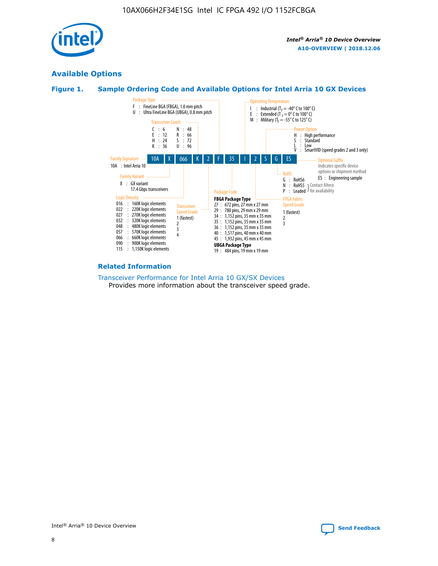

## **Available Options**

## **Figure 1. Sample Ordering Code and Available Options for Intel Arria 10 GX Devices**



#### **Related Information**

#### [Transceiver Performance for Intel Arria 10 GX/SX Devices](https://www.intel.com/content/www/us/en/programmable/documentation/mcn1413182292568.html#mcn1413213965502) Provides more information about the transceiver speed grade.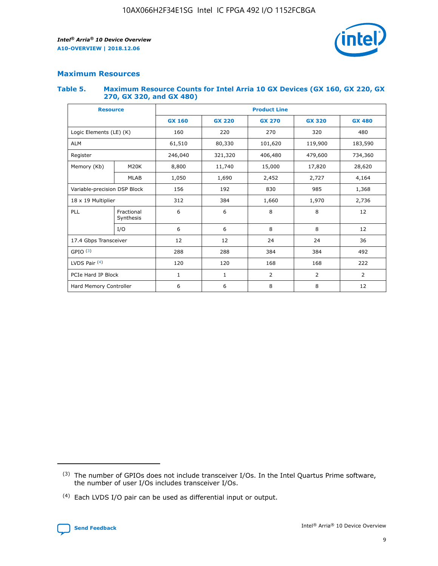

## **Maximum Resources**

## **Table 5. Maximum Resource Counts for Intel Arria 10 GX Devices (GX 160, GX 220, GX 270, GX 320, and GX 480)**

| <b>Resource</b>              |                         | <b>Product Line</b> |                   |                |                |                |  |  |  |
|------------------------------|-------------------------|---------------------|-------------------|----------------|----------------|----------------|--|--|--|
|                              |                         | <b>GX 160</b>       | <b>GX 220</b>     | <b>GX 270</b>  | <b>GX 320</b>  | <b>GX 480</b>  |  |  |  |
| Logic Elements (LE) (K)      |                         | 160                 | 220               | 270            | 320            | 480            |  |  |  |
| <b>ALM</b>                   |                         | 61,510              | 80,330            | 101,620        | 119,900        | 183,590        |  |  |  |
| Register                     |                         | 246,040             | 321,320           | 406,480        | 479,600        | 734,360        |  |  |  |
| Memory (Kb)                  | M <sub>20</sub> K       | 8,800               | 11,740<br>15,000  |                | 17,820         | 28,620         |  |  |  |
|                              | <b>MLAB</b>             | 1,050               | 1,690             | 2,452          | 2,727          | 4,164          |  |  |  |
| Variable-precision DSP Block |                         | 156                 | 192<br>830<br>985 |                | 1,368          |                |  |  |  |
| 18 x 19 Multiplier           |                         | 312                 | 384               | 1,970<br>1,660 |                | 2,736          |  |  |  |
| PLL                          | Fractional<br>Synthesis | 6                   | 6                 | 8              | 8              | 12             |  |  |  |
|                              | I/O                     | 6                   | 6                 | 8              | 8              | 12             |  |  |  |
| 17.4 Gbps Transceiver        |                         | 12                  | 12                | 24             | 24             | 36             |  |  |  |
| GPIO <sup>(3)</sup>          |                         | 288                 | 288               | 384<br>384     |                | 492            |  |  |  |
| LVDS Pair $(4)$              |                         | 120                 | 120               | 168            | 168            | 222            |  |  |  |
| PCIe Hard IP Block           |                         | 1                   | 1                 | 2              | $\overline{2}$ | $\overline{2}$ |  |  |  |
| Hard Memory Controller       |                         | 6                   | 6                 | 8              | 8              | 12             |  |  |  |

<sup>(4)</sup> Each LVDS I/O pair can be used as differential input or output.



<sup>(3)</sup> The number of GPIOs does not include transceiver I/Os. In the Intel Quartus Prime software, the number of user I/Os includes transceiver I/Os.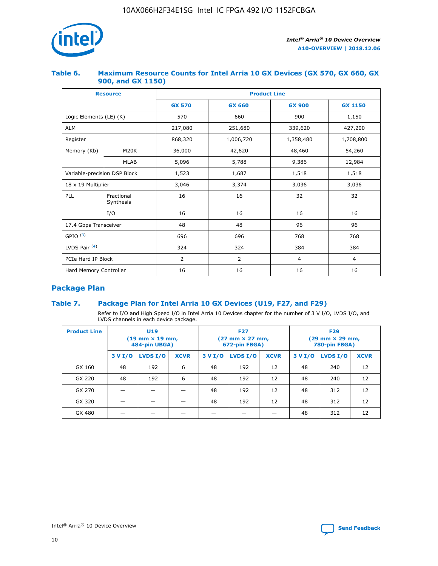

## **Table 6. Maximum Resource Counts for Intel Arria 10 GX Devices (GX 570, GX 660, GX 900, and GX 1150)**

|                              | <b>Resource</b>         | <b>Product Line</b> |                |                |                |  |  |  |
|------------------------------|-------------------------|---------------------|----------------|----------------|----------------|--|--|--|
|                              |                         | <b>GX 570</b>       | <b>GX 660</b>  | <b>GX 900</b>  | <b>GX 1150</b> |  |  |  |
| Logic Elements (LE) (K)      |                         | 570                 | 660            | 900            | 1,150          |  |  |  |
| <b>ALM</b>                   |                         | 217,080             | 251,680        | 339,620        | 427,200        |  |  |  |
| Register                     |                         | 868,320             | 1,006,720      | 1,358,480      | 1,708,800      |  |  |  |
| Memory (Kb)                  | <b>M20K</b>             | 36,000              | 42,620         | 48,460         | 54,260         |  |  |  |
|                              | <b>MLAB</b>             | 5,096               | 5,788          | 9,386          | 12,984         |  |  |  |
| Variable-precision DSP Block |                         | 1,523               | 1,687          | 1,518          | 1,518          |  |  |  |
| $18 \times 19$ Multiplier    |                         | 3,046               | 3,374<br>3,036 |                | 3,036          |  |  |  |
| PLL                          | Fractional<br>Synthesis | 16                  | 16             | 32             | 32             |  |  |  |
|                              | I/O                     | 16                  | 16             | 16             | 16             |  |  |  |
| 17.4 Gbps Transceiver        |                         | 48                  | 48             | 96             | 96             |  |  |  |
| GPIO <sup>(3)</sup>          |                         | 696                 | 696            | 768            | 768            |  |  |  |
| LVDS Pair $(4)$              |                         | 324                 | 324            | 384            | 384            |  |  |  |
| PCIe Hard IP Block           |                         | 2                   | 2              | $\overline{4}$ | $\overline{4}$ |  |  |  |
| Hard Memory Controller       |                         | 16                  | 16             | 16             | 16             |  |  |  |

## **Package Plan**

## **Table 7. Package Plan for Intel Arria 10 GX Devices (U19, F27, and F29)**

Refer to I/O and High Speed I/O in Intel Arria 10 Devices chapter for the number of 3 V I/O, LVDS I/O, and LVDS channels in each device package.

| <b>Product Line</b> | U <sub>19</sub><br>$(19 \text{ mm} \times 19 \text{ mm})$<br>484-pin UBGA) |          |             |         | <b>F27</b><br>(27 mm × 27 mm,<br>672-pin FBGA) |             | <b>F29</b><br>(29 mm × 29 mm,<br>780-pin FBGA) |          |             |  |
|---------------------|----------------------------------------------------------------------------|----------|-------------|---------|------------------------------------------------|-------------|------------------------------------------------|----------|-------------|--|
|                     | 3 V I/O                                                                    | LVDS I/O | <b>XCVR</b> | 3 V I/O | LVDS I/O                                       | <b>XCVR</b> | 3 V I/O                                        | LVDS I/O | <b>XCVR</b> |  |
| GX 160              | 48                                                                         | 192      | 6           | 48      | 192                                            | 12          | 48                                             | 240      | 12          |  |
| GX 220              | 48                                                                         | 192      | 6           | 48      | 192                                            | 12          | 48                                             | 240      | 12          |  |
| GX 270              |                                                                            |          |             | 48      | 192                                            | 12          | 48                                             | 312      | 12          |  |
| GX 320              |                                                                            |          |             | 48      | 192                                            | 12          | 48                                             | 312      | 12          |  |
| GX 480              |                                                                            |          |             |         |                                                |             | 48                                             | 312      | 12          |  |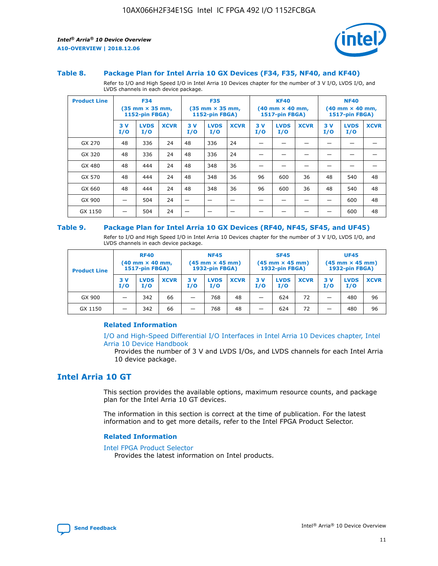

#### **Table 8. Package Plan for Intel Arria 10 GX Devices (F34, F35, NF40, and KF40)**

Refer to I/O and High Speed I/O in Intel Arria 10 Devices chapter for the number of 3 V I/O, LVDS I/O, and LVDS channels in each device package.

| <b>Product Line</b> | <b>F34</b><br>$(35 \text{ mm} \times 35 \text{ mm})$<br>1152-pin FBGA) |                    | <b>F35</b><br>$(35 \text{ mm} \times 35 \text{ mm})$<br><b>1152-pin FBGA)</b> |           | <b>KF40</b><br>$(40$ mm $\times$ 40 mm,<br>1517-pin FBGA) |             |           | <b>NF40</b><br>$(40$ mm $\times$ 40 mm,<br><b>1517-pin FBGA)</b> |             |            |                    |             |
|---------------------|------------------------------------------------------------------------|--------------------|-------------------------------------------------------------------------------|-----------|-----------------------------------------------------------|-------------|-----------|------------------------------------------------------------------|-------------|------------|--------------------|-------------|
|                     | 3V<br>I/O                                                              | <b>LVDS</b><br>I/O | <b>XCVR</b>                                                                   | 3V<br>I/O | <b>LVDS</b><br>I/O                                        | <b>XCVR</b> | 3V<br>I/O | <b>LVDS</b><br>I/O                                               | <b>XCVR</b> | 3 V<br>I/O | <b>LVDS</b><br>I/O | <b>XCVR</b> |
| GX 270              | 48                                                                     | 336                | 24                                                                            | 48        | 336                                                       | 24          |           |                                                                  |             |            |                    |             |
| GX 320              | 48                                                                     | 336                | 24                                                                            | 48        | 336                                                       | 24          |           |                                                                  |             |            |                    |             |
| GX 480              | 48                                                                     | 444                | 24                                                                            | 48        | 348                                                       | 36          |           |                                                                  |             |            |                    |             |
| GX 570              | 48                                                                     | 444                | 24                                                                            | 48        | 348                                                       | 36          | 96        | 600                                                              | 36          | 48         | 540                | 48          |
| GX 660              | 48                                                                     | 444                | 24                                                                            | 48        | 348                                                       | 36          | 96        | 600                                                              | 36          | 48         | 540                | 48          |
| GX 900              |                                                                        | 504                | 24                                                                            | -         |                                                           |             |           |                                                                  |             |            | 600                | 48          |
| GX 1150             |                                                                        | 504                | 24                                                                            |           |                                                           |             |           |                                                                  |             |            | 600                | 48          |

## **Table 9. Package Plan for Intel Arria 10 GX Devices (RF40, NF45, SF45, and UF45)**

Refer to I/O and High Speed I/O in Intel Arria 10 Devices chapter for the number of 3 V I/O, LVDS I/O, and LVDS channels in each device package.

| <b>Product Line</b> | <b>RF40</b><br>$(40$ mm $\times$ 40 mm,<br>1517-pin FBGA) |                    |             | <b>NF45</b><br>$(45 \text{ mm} \times 45 \text{ mm})$<br><b>1932-pin FBGA)</b> |                    |             | <b>SF45</b><br>$(45 \text{ mm} \times 45 \text{ mm})$<br><b>1932-pin FBGA)</b> |                    |             | <b>UF45</b><br>$(45 \text{ mm} \times 45 \text{ mm})$<br><b>1932-pin FBGA)</b> |                    |             |
|---------------------|-----------------------------------------------------------|--------------------|-------------|--------------------------------------------------------------------------------|--------------------|-------------|--------------------------------------------------------------------------------|--------------------|-------------|--------------------------------------------------------------------------------|--------------------|-------------|
|                     | 3V<br>I/O                                                 | <b>LVDS</b><br>I/O | <b>XCVR</b> | 3 V<br>I/O                                                                     | <b>LVDS</b><br>I/O | <b>XCVR</b> | 3 V<br>I/O                                                                     | <b>LVDS</b><br>I/O | <b>XCVR</b> | 3V<br>I/O                                                                      | <b>LVDS</b><br>I/O | <b>XCVR</b> |
| GX 900              |                                                           | 342                | 66          | _                                                                              | 768                | 48          |                                                                                | 624                | 72          |                                                                                | 480                | 96          |
| GX 1150             |                                                           | 342                | 66          | _                                                                              | 768                | 48          |                                                                                | 624                | 72          |                                                                                | 480                | 96          |

## **Related Information**

[I/O and High-Speed Differential I/O Interfaces in Intel Arria 10 Devices chapter, Intel](https://www.intel.com/content/www/us/en/programmable/documentation/sam1403482614086.html#sam1403482030321) [Arria 10 Device Handbook](https://www.intel.com/content/www/us/en/programmable/documentation/sam1403482614086.html#sam1403482030321)

Provides the number of 3 V and LVDS I/Os, and LVDS channels for each Intel Arria 10 device package.

## **Intel Arria 10 GT**

This section provides the available options, maximum resource counts, and package plan for the Intel Arria 10 GT devices.

The information in this section is correct at the time of publication. For the latest information and to get more details, refer to the Intel FPGA Product Selector.

#### **Related Information**

#### [Intel FPGA Product Selector](http://www.altera.com/products/selector/psg-selector.html)

Provides the latest information on Intel products.

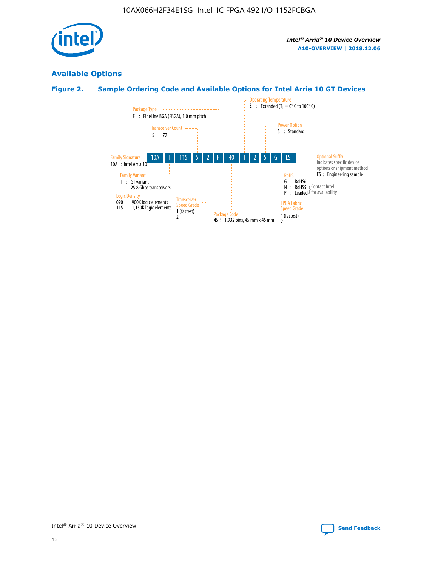

## **Available Options**

## **Figure 2. Sample Ordering Code and Available Options for Intel Arria 10 GT Devices**

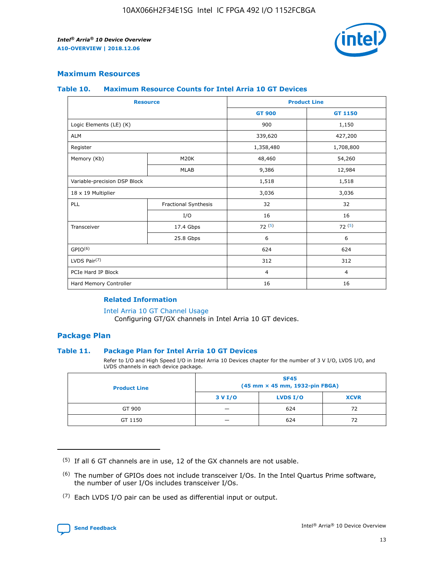

## **Maximum Resources**

#### **Table 10. Maximum Resource Counts for Intel Arria 10 GT Devices**

| <b>Resource</b>              |                      |                | <b>Product Line</b> |  |
|------------------------------|----------------------|----------------|---------------------|--|
|                              |                      | <b>GT 900</b>  | <b>GT 1150</b>      |  |
| Logic Elements (LE) (K)      |                      | 900            | 1,150               |  |
| <b>ALM</b>                   |                      | 339,620        | 427,200             |  |
| Register                     |                      | 1,358,480      | 1,708,800           |  |
| Memory (Kb)                  | M20K                 | 48,460         | 54,260              |  |
|                              | <b>MLAB</b>          | 9,386          | 12,984              |  |
| Variable-precision DSP Block |                      | 1,518          | 1,518               |  |
| 18 x 19 Multiplier           |                      | 3,036          | 3,036               |  |
| PLL                          | Fractional Synthesis | 32             | 32                  |  |
|                              | I/O                  | 16             | 16                  |  |
| Transceiver                  | 17.4 Gbps            | 72(5)          | 72(5)               |  |
|                              | 25.8 Gbps            | 6              | 6                   |  |
| GPIO <sup>(6)</sup>          |                      | 624            | 624                 |  |
| LVDS Pair $(7)$              |                      | 312            | 312                 |  |
| PCIe Hard IP Block           |                      | $\overline{4}$ | $\overline{4}$      |  |
| Hard Memory Controller       |                      | 16             | 16                  |  |

## **Related Information**

#### [Intel Arria 10 GT Channel Usage](https://www.intel.com/content/www/us/en/programmable/documentation/nik1398707230472.html#nik1398707008178)

Configuring GT/GX channels in Intel Arria 10 GT devices.

## **Package Plan**

## **Table 11. Package Plan for Intel Arria 10 GT Devices**

Refer to I/O and High Speed I/O in Intel Arria 10 Devices chapter for the number of 3 V I/O, LVDS I/O, and LVDS channels in each device package.

| <b>Product Line</b> | <b>SF45</b><br>(45 mm × 45 mm, 1932-pin FBGA) |                 |             |  |  |  |
|---------------------|-----------------------------------------------|-----------------|-------------|--|--|--|
|                     | 3 V I/O                                       | <b>LVDS I/O</b> | <b>XCVR</b> |  |  |  |
| GT 900              |                                               | 624             | 72          |  |  |  |
| GT 1150             |                                               | 624             | 72          |  |  |  |

<sup>(7)</sup> Each LVDS I/O pair can be used as differential input or output.



 $(5)$  If all 6 GT channels are in use, 12 of the GX channels are not usable.

<sup>(6)</sup> The number of GPIOs does not include transceiver I/Os. In the Intel Quartus Prime software, the number of user I/Os includes transceiver I/Os.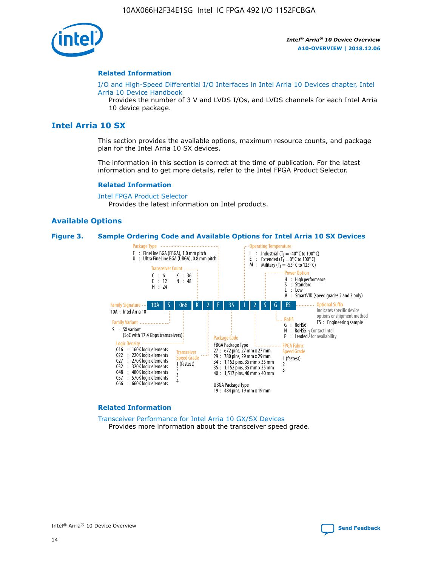

## **Related Information**

[I/O and High-Speed Differential I/O Interfaces in Intel Arria 10 Devices chapter, Intel](https://www.intel.com/content/www/us/en/programmable/documentation/sam1403482614086.html#sam1403482030321) [Arria 10 Device Handbook](https://www.intel.com/content/www/us/en/programmable/documentation/sam1403482614086.html#sam1403482030321)

Provides the number of 3 V and LVDS I/Os, and LVDS channels for each Intel Arria 10 device package.

## **Intel Arria 10 SX**

This section provides the available options, maximum resource counts, and package plan for the Intel Arria 10 SX devices.

The information in this section is correct at the time of publication. For the latest information and to get more details, refer to the Intel FPGA Product Selector.

#### **Related Information**

[Intel FPGA Product Selector](http://www.altera.com/products/selector/psg-selector.html) Provides the latest information on Intel products.

#### **Available Options**

#### **Figure 3. Sample Ordering Code and Available Options for Intel Arria 10 SX Devices**



#### **Related Information**

[Transceiver Performance for Intel Arria 10 GX/SX Devices](https://www.intel.com/content/www/us/en/programmable/documentation/mcn1413182292568.html#mcn1413213965502) Provides more information about the transceiver speed grade.

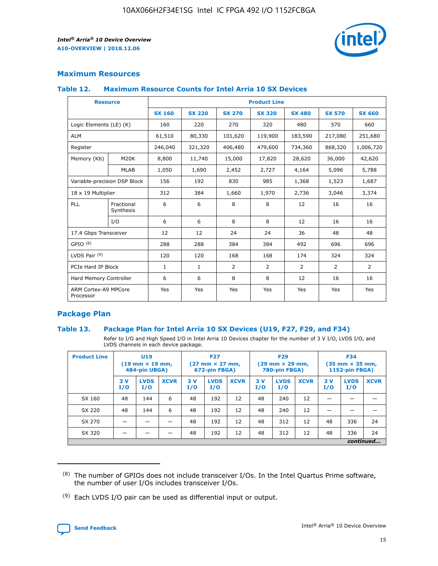

## **Maximum Resources**

#### **Table 12. Maximum Resource Counts for Intel Arria 10 SX Devices**

| <b>Resource</b>                   |                         | <b>Product Line</b> |               |               |                |               |               |               |  |  |
|-----------------------------------|-------------------------|---------------------|---------------|---------------|----------------|---------------|---------------|---------------|--|--|
|                                   |                         | <b>SX 160</b>       | <b>SX 220</b> | <b>SX 270</b> | <b>SX 320</b>  | <b>SX 480</b> | <b>SX 570</b> | <b>SX 660</b> |  |  |
| Logic Elements (LE) (K)           |                         | 160                 | 220           | 270           | 320            | 480           | 570           | 660           |  |  |
| <b>ALM</b>                        |                         | 61,510              | 80,330        | 101,620       | 119,900        | 183,590       | 217,080       | 251,680       |  |  |
| Register                          |                         | 246,040             | 321,320       | 406,480       | 479,600        | 734,360       | 868,320       | 1,006,720     |  |  |
| Memory (Kb)                       | M20K                    | 8,800               | 11,740        | 15,000        | 17,820         | 28,620        | 36,000        | 42,620        |  |  |
|                                   | <b>MLAB</b>             | 1,050               | 1,690         | 2,452         | 2,727          | 4,164         | 5,096         | 5,788         |  |  |
| Variable-precision DSP Block      |                         | 156                 | 192           | 830           | 985            | 1,368         | 1,523         | 1,687         |  |  |
| 18 x 19 Multiplier                |                         | 312                 | 384           | 1,660         | 1,970          | 2,736         | 3,046         | 3,374         |  |  |
| PLL                               | Fractional<br>Synthesis | 6                   | 6             | 8             | 8              | 12            | 16            | 16            |  |  |
|                                   | I/O                     | 6                   | 6             | 8             | 8              | 12            | 16            | 16            |  |  |
| 17.4 Gbps Transceiver             |                         | 12                  | 12            | 24            | 24             | 36            | 48            | 48            |  |  |
| GPIO <sup>(8)</sup>               |                         | 288                 | 288           | 384           | 384            | 492           | 696           | 696           |  |  |
| LVDS Pair $(9)$                   |                         | 120                 | 120           | 168           | 168            | 174           | 324           | 324           |  |  |
| PCIe Hard IP Block                |                         | $\mathbf{1}$        | $\mathbf{1}$  | 2             | $\overline{2}$ | 2             | 2             | 2             |  |  |
| Hard Memory Controller            |                         | 6                   | 6             | 8             | 8              | 12            | 16            | 16            |  |  |
| ARM Cortex-A9 MPCore<br>Processor |                         | Yes                 | Yes           | Yes           | Yes            | Yes           | Yes           | Yes           |  |  |

## **Package Plan**

## **Table 13. Package Plan for Intel Arria 10 SX Devices (U19, F27, F29, and F34)**

Refer to I/O and High Speed I/O in Intel Arria 10 Devices chapter for the number of 3 V I/O, LVDS I/O, and LVDS channels in each device package.

| <b>Product Line</b> | U19<br>$(19 \text{ mm} \times 19 \text{ mm})$<br>484-pin UBGA) |                    |             | <b>F27</b><br>$(27 \text{ mm} \times 27 \text{ mm})$<br>672-pin FBGA) |                    | <b>F29</b><br>$(29 \text{ mm} \times 29 \text{ mm})$<br>780-pin FBGA) |           |                    | <b>F34</b><br>$(35 \text{ mm} \times 35 \text{ mm})$<br><b>1152-pin FBGA)</b> |           |                    |             |
|---------------------|----------------------------------------------------------------|--------------------|-------------|-----------------------------------------------------------------------|--------------------|-----------------------------------------------------------------------|-----------|--------------------|-------------------------------------------------------------------------------|-----------|--------------------|-------------|
|                     | 3V<br>I/O                                                      | <b>LVDS</b><br>I/O | <b>XCVR</b> | 3V<br>I/O                                                             | <b>LVDS</b><br>I/O | <b>XCVR</b>                                                           | 3V<br>I/O | <b>LVDS</b><br>I/O | <b>XCVR</b>                                                                   | 3V<br>I/O | <b>LVDS</b><br>I/O | <b>XCVR</b> |
| SX 160              | 48                                                             | 144                | 6           | 48                                                                    | 192                | 12                                                                    | 48        | 240                | 12                                                                            |           |                    |             |
| SX 220              | 48                                                             | 144                | 6           | 48                                                                    | 192                | 12                                                                    | 48        | 240                | 12                                                                            |           |                    |             |
| SX 270              |                                                                |                    |             | 48                                                                    | 192                | 12                                                                    | 48        | 312                | 12                                                                            | 48        | 336                | 24          |
| SX 320              |                                                                |                    |             | 48                                                                    | 192                | 12                                                                    | 48        | 312                | 12                                                                            | 48        | 336                | 24          |
|                     | continued                                                      |                    |             |                                                                       |                    |                                                                       |           |                    |                                                                               |           |                    |             |

 $(8)$  The number of GPIOs does not include transceiver I/Os. In the Intel Quartus Prime software, the number of user I/Os includes transceiver I/Os.

 $(9)$  Each LVDS I/O pair can be used as differential input or output.

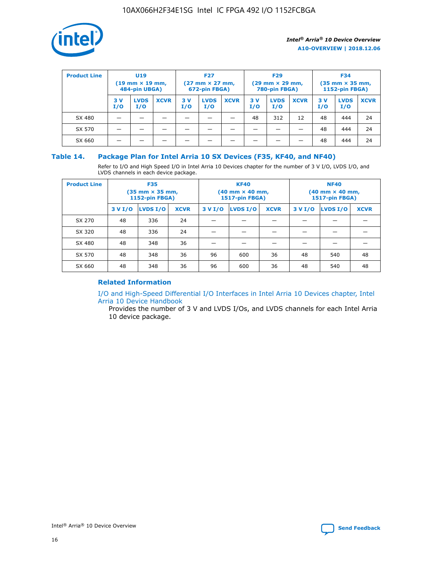

| <b>Product Line</b> | U <sub>19</sub><br>$(19 \text{ mm} \times 19 \text{ mm})$<br>484-pin UBGA) |                    | <b>F27</b><br>$(27 \text{ mm} \times 27 \text{ mm})$<br>672-pin FBGA) |           |                    | <b>F29</b><br>$(29 \text{ mm} \times 29 \text{ mm})$<br>780-pin FBGA) |           |                    | <b>F34</b><br>$(35$ mm $\times$ 35 mm,<br><b>1152-pin FBGA)</b> |           |                    |             |
|---------------------|----------------------------------------------------------------------------|--------------------|-----------------------------------------------------------------------|-----------|--------------------|-----------------------------------------------------------------------|-----------|--------------------|-----------------------------------------------------------------|-----------|--------------------|-------------|
|                     | 3V<br>I/O                                                                  | <b>LVDS</b><br>I/O | <b>XCVR</b>                                                           | 3V<br>I/O | <b>LVDS</b><br>I/O | <b>XCVR</b>                                                           | 3V<br>I/O | <b>LVDS</b><br>I/O | <b>XCVR</b>                                                     | 3V<br>I/O | <b>LVDS</b><br>I/O | <b>XCVR</b> |
| SX 480              |                                                                            |                    |                                                                       |           |                    |                                                                       | 48        | 312                | 12                                                              | 48        | 444                | 24          |
| SX 570              |                                                                            |                    |                                                                       |           |                    |                                                                       |           |                    |                                                                 | 48        | 444                | 24          |
| SX 660              |                                                                            |                    |                                                                       |           |                    |                                                                       |           |                    |                                                                 | 48        | 444                | 24          |

## **Table 14. Package Plan for Intel Arria 10 SX Devices (F35, KF40, and NF40)**

Refer to I/O and High Speed I/O in Intel Arria 10 Devices chapter for the number of 3 V I/O, LVDS I/O, and LVDS channels in each device package.

| <b>Product Line</b> | <b>F35</b><br>(35 mm × 35 mm,<br>1152-pin FBGA) |          |             |                                           | <b>KF40</b><br>(40 mm × 40 mm,<br>1517-pin FBGA) |    | <b>NF40</b><br>(40 mm × 40 mm,<br>1517-pin FBGA) |          |             |  |
|---------------------|-------------------------------------------------|----------|-------------|-------------------------------------------|--------------------------------------------------|----|--------------------------------------------------|----------|-------------|--|
|                     | 3 V I/O                                         | LVDS I/O | <b>XCVR</b> | <b>LVDS I/O</b><br>3 V I/O<br><b>XCVR</b> |                                                  |    | 3 V I/O                                          | LVDS I/O | <b>XCVR</b> |  |
| SX 270              | 48                                              | 336      | 24          |                                           |                                                  |    |                                                  |          |             |  |
| SX 320              | 48                                              | 336      | 24          |                                           |                                                  |    |                                                  |          |             |  |
| SX 480              | 48                                              | 348      | 36          |                                           |                                                  |    |                                                  |          |             |  |
| SX 570              | 48                                              | 348      | 36          | 96                                        | 600                                              | 36 | 48                                               | 540      | 48          |  |
| SX 660              | 48                                              | 348      | 36          | 96                                        | 600                                              | 36 | 48                                               | 540      | 48          |  |

## **Related Information**

[I/O and High-Speed Differential I/O Interfaces in Intel Arria 10 Devices chapter, Intel](https://www.intel.com/content/www/us/en/programmable/documentation/sam1403482614086.html#sam1403482030321) [Arria 10 Device Handbook](https://www.intel.com/content/www/us/en/programmable/documentation/sam1403482614086.html#sam1403482030321)

Provides the number of 3 V and LVDS I/Os, and LVDS channels for each Intel Arria 10 device package.

Intel<sup>®</sup> Arria<sup>®</sup> 10 Device Overview **[Send Feedback](mailto:FPGAtechdocfeedback@intel.com?subject=Feedback%20on%20Intel%20Arria%2010%20Device%20Overview%20(A10-OVERVIEW%202018.12.06)&body=We%20appreciate%20your%20feedback.%20In%20your%20comments,%20also%20specify%20the%20page%20number%20or%20paragraph.%20Thank%20you.)** Send Feedback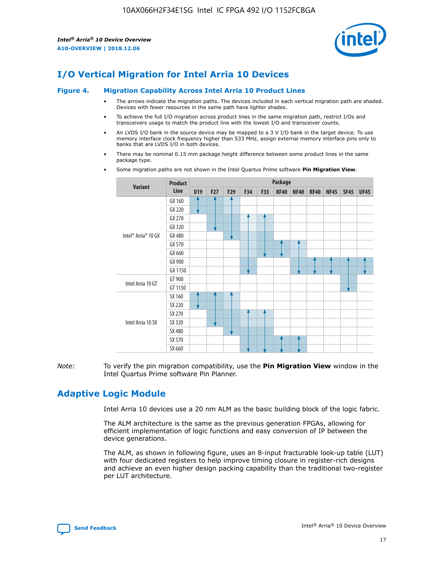

# **I/O Vertical Migration for Intel Arria 10 Devices**

#### **Figure 4. Migration Capability Across Intel Arria 10 Product Lines**

- The arrows indicate the migration paths. The devices included in each vertical migration path are shaded. Devices with fewer resources in the same path have lighter shades.
- To achieve the full I/O migration across product lines in the same migration path, restrict I/Os and transceivers usage to match the product line with the lowest I/O and transceiver counts.
- An LVDS I/O bank in the source device may be mapped to a 3 V I/O bank in the target device. To use memory interface clock frequency higher than 533 MHz, assign external memory interface pins only to banks that are LVDS I/O in both devices.
- There may be nominal 0.15 mm package height difference between some product lines in the same package type.
	- **Variant Product Line Package U19 F27 F29 F34 F35 KF40 NF40 RF40 NF45 SF45 UF45** Intel® Arria® 10 GX GX 160 GX 220 GX 270 GX 320 GX 480 GX 570 GX 660 GX 900 GX 1150 Intel Arria 10 GT GT 900 GT 1150 Intel Arria 10 SX SX 160 SX 220 SX 270 SX 320 SX 480 SX 570 SX 660
- Some migration paths are not shown in the Intel Quartus Prime software **Pin Migration View**.

*Note:* To verify the pin migration compatibility, use the **Pin Migration View** window in the Intel Quartus Prime software Pin Planner.

## **Adaptive Logic Module**

Intel Arria 10 devices use a 20 nm ALM as the basic building block of the logic fabric.

The ALM architecture is the same as the previous generation FPGAs, allowing for efficient implementation of logic functions and easy conversion of IP between the device generations.

The ALM, as shown in following figure, uses an 8-input fracturable look-up table (LUT) with four dedicated registers to help improve timing closure in register-rich designs and achieve an even higher design packing capability than the traditional two-register per LUT architecture.

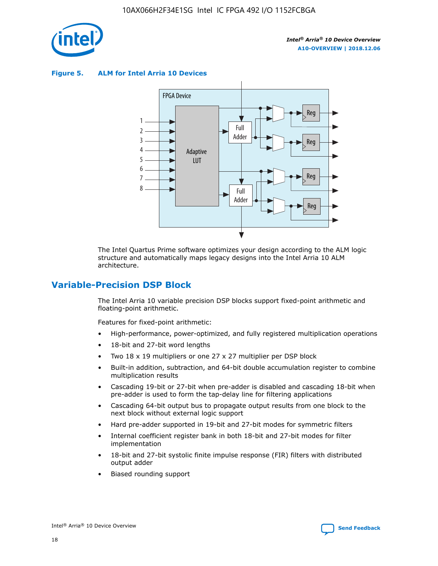

**Figure 5. ALM for Intel Arria 10 Devices**



The Intel Quartus Prime software optimizes your design according to the ALM logic structure and automatically maps legacy designs into the Intel Arria 10 ALM architecture.

## **Variable-Precision DSP Block**

The Intel Arria 10 variable precision DSP blocks support fixed-point arithmetic and floating-point arithmetic.

Features for fixed-point arithmetic:

- High-performance, power-optimized, and fully registered multiplication operations
- 18-bit and 27-bit word lengths
- Two 18 x 19 multipliers or one 27 x 27 multiplier per DSP block
- Built-in addition, subtraction, and 64-bit double accumulation register to combine multiplication results
- Cascading 19-bit or 27-bit when pre-adder is disabled and cascading 18-bit when pre-adder is used to form the tap-delay line for filtering applications
- Cascading 64-bit output bus to propagate output results from one block to the next block without external logic support
- Hard pre-adder supported in 19-bit and 27-bit modes for symmetric filters
- Internal coefficient register bank in both 18-bit and 27-bit modes for filter implementation
- 18-bit and 27-bit systolic finite impulse response (FIR) filters with distributed output adder
- Biased rounding support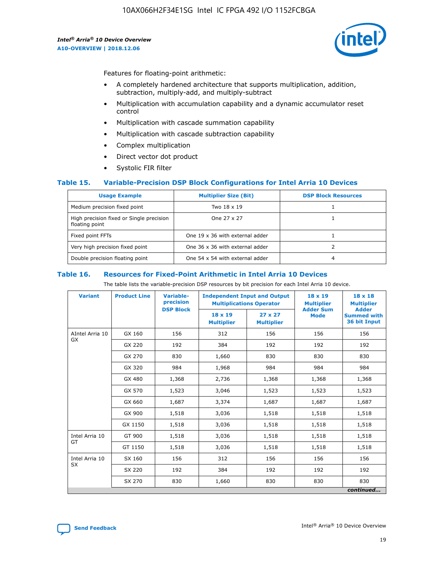

Features for floating-point arithmetic:

- A completely hardened architecture that supports multiplication, addition, subtraction, multiply-add, and multiply-subtract
- Multiplication with accumulation capability and a dynamic accumulator reset control
- Multiplication with cascade summation capability
- Multiplication with cascade subtraction capability
- Complex multiplication
- Direct vector dot product
- Systolic FIR filter

## **Table 15. Variable-Precision DSP Block Configurations for Intel Arria 10 Devices**

| <b>Usage Example</b>                                       | <b>Multiplier Size (Bit)</b>    | <b>DSP Block Resources</b> |
|------------------------------------------------------------|---------------------------------|----------------------------|
| Medium precision fixed point                               | Two 18 x 19                     |                            |
| High precision fixed or Single precision<br>floating point | One 27 x 27                     |                            |
| Fixed point FFTs                                           | One 19 x 36 with external adder |                            |
| Very high precision fixed point                            | One 36 x 36 with external adder |                            |
| Double precision floating point                            | One 54 x 54 with external adder | 4                          |

#### **Table 16. Resources for Fixed-Point Arithmetic in Intel Arria 10 Devices**

The table lists the variable-precision DSP resources by bit precision for each Intel Arria 10 device.

| <b>Variant</b>  | <b>Product Line</b> | <b>Variable-</b><br>precision<br><b>DSP Block</b> | <b>Independent Input and Output</b><br><b>Multiplications Operator</b> |                                     | 18 x 19<br><b>Multiplier</b><br><b>Adder Sum</b> | $18 \times 18$<br><b>Multiplier</b><br><b>Adder</b> |
|-----------------|---------------------|---------------------------------------------------|------------------------------------------------------------------------|-------------------------------------|--------------------------------------------------|-----------------------------------------------------|
|                 |                     |                                                   | 18 x 19<br><b>Multiplier</b>                                           | $27 \times 27$<br><b>Multiplier</b> | <b>Mode</b>                                      | <b>Summed with</b><br>36 bit Input                  |
| AIntel Arria 10 | GX 160              | 156                                               | 312                                                                    | 156                                 | 156                                              | 156                                                 |
| GX              | GX 220              | 192                                               | 384                                                                    | 192                                 | 192                                              | 192                                                 |
|                 | GX 270              | 830                                               | 1,660                                                                  | 830                                 | 830                                              | 830                                                 |
|                 | GX 320              | 984                                               | 1,968                                                                  | 984                                 | 984                                              | 984                                                 |
|                 | GX 480              | 1,368                                             | 2,736                                                                  | 1,368                               | 1,368                                            | 1,368                                               |
|                 | GX 570              | 1,523                                             | 3,046                                                                  | 1,523                               | 1,523                                            | 1,523                                               |
|                 | GX 660              | 1,687                                             | 3,374                                                                  | 1,687                               | 1,687                                            | 1,687                                               |
|                 | GX 900              | 1,518                                             | 3,036                                                                  | 1,518                               | 1,518                                            | 1,518                                               |
|                 | GX 1150             | 1,518                                             | 3,036                                                                  | 1,518                               | 1,518                                            | 1,518                                               |
| Intel Arria 10  | GT 900              | 1,518                                             | 3,036                                                                  | 1,518                               | 1,518                                            | 1,518                                               |
| GT              | GT 1150             | 1,518                                             | 3,036                                                                  | 1,518                               | 1,518                                            | 1,518                                               |
| Intel Arria 10  | SX 160              | 156                                               | 312                                                                    | 156                                 | 156                                              | 156                                                 |
| <b>SX</b>       | SX 220              | 192                                               | 384                                                                    | 192                                 | 192                                              | 192                                                 |
|                 | SX 270              | 830                                               | 1,660                                                                  | 830                                 | 830                                              | 830                                                 |
|                 |                     |                                                   |                                                                        |                                     |                                                  | continued                                           |

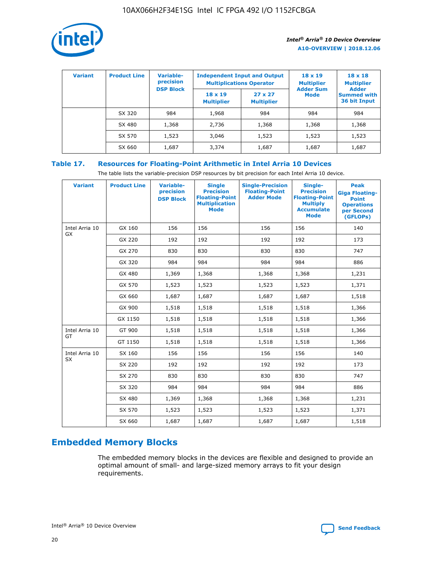

| <b>Variant</b> | <b>Product Line</b> | <b>Variable-</b><br>precision<br><b>DSP Block</b> | <b>Independent Input and Output</b><br><b>Multiplications Operator</b> |                                     | $18 \times 19$<br><b>Multiplier</b><br><b>Adder Sum</b> | $18 \times 18$<br><b>Multiplier</b><br><b>Adder</b> |  |
|----------------|---------------------|---------------------------------------------------|------------------------------------------------------------------------|-------------------------------------|---------------------------------------------------------|-----------------------------------------------------|--|
|                |                     |                                                   | $18 \times 19$<br><b>Multiplier</b>                                    | $27 \times 27$<br><b>Multiplier</b> | <b>Mode</b>                                             | <b>Summed with</b><br>36 bit Input                  |  |
|                | SX 320              | 984                                               | 1,968                                                                  | 984                                 | 984                                                     | 984                                                 |  |
|                | SX 480              | 1,368                                             | 2,736                                                                  | 1,368                               | 1,368                                                   | 1,368                                               |  |
|                | SX 570              | 1,523                                             | 3,046                                                                  | 1,523                               | 1,523                                                   | 1,523                                               |  |
|                | SX 660              | 1,687                                             | 3,374                                                                  | 1,687                               | 1,687                                                   | 1,687                                               |  |

## **Table 17. Resources for Floating-Point Arithmetic in Intel Arria 10 Devices**

The table lists the variable-precision DSP resources by bit precision for each Intel Arria 10 device.

| <b>Variant</b> | <b>Product Line</b> | <b>Variable-</b><br>precision<br><b>DSP Block</b> | <b>Single</b><br><b>Precision</b><br><b>Floating-Point</b><br><b>Multiplication</b><br><b>Mode</b> | <b>Single-Precision</b><br><b>Floating-Point</b><br><b>Adder Mode</b> | Single-<br><b>Precision</b><br><b>Floating-Point</b><br><b>Multiply</b><br><b>Accumulate</b><br><b>Mode</b> | <b>Peak</b><br><b>Giga Floating-</b><br><b>Point</b><br><b>Operations</b><br>per Second<br>(GFLOPs) |
|----------------|---------------------|---------------------------------------------------|----------------------------------------------------------------------------------------------------|-----------------------------------------------------------------------|-------------------------------------------------------------------------------------------------------------|-----------------------------------------------------------------------------------------------------|
| Intel Arria 10 | GX 160              | 156                                               | 156                                                                                                | 156                                                                   | 156                                                                                                         | 140                                                                                                 |
| GX             | GX 220              | 192                                               | 192                                                                                                | 192                                                                   | 192                                                                                                         | 173                                                                                                 |
|                | GX 270              | 830                                               | 830                                                                                                | 830                                                                   | 830                                                                                                         | 747                                                                                                 |
|                | GX 320              | 984                                               | 984                                                                                                | 984                                                                   | 984                                                                                                         | 886                                                                                                 |
|                | GX 480              | 1,369                                             | 1,368                                                                                              | 1,368                                                                 | 1,368                                                                                                       | 1,231                                                                                               |
|                | GX 570              | 1,523                                             | 1,523                                                                                              | 1,523                                                                 | 1,523                                                                                                       | 1,371                                                                                               |
|                | GX 660              | 1,687                                             | 1,687                                                                                              | 1,687                                                                 | 1,687                                                                                                       | 1,518                                                                                               |
|                | GX 900              | 1,518                                             | 1,518                                                                                              | 1,518                                                                 | 1,518                                                                                                       | 1,366                                                                                               |
|                | GX 1150             | 1,518                                             | 1,518                                                                                              | 1,518                                                                 | 1,518                                                                                                       | 1,366                                                                                               |
| Intel Arria 10 | GT 900              | 1,518                                             | 1,518                                                                                              | 1,518                                                                 | 1,518                                                                                                       | 1,366                                                                                               |
| GT             | GT 1150             | 1,518                                             | 1,518                                                                                              | 1,518                                                                 | 1,518                                                                                                       | 1,366                                                                                               |
| Intel Arria 10 | SX 160              | 156                                               | 156                                                                                                | 156                                                                   | 156                                                                                                         | 140                                                                                                 |
| <b>SX</b>      | SX 220              | 192                                               | 192                                                                                                | 192                                                                   | 192                                                                                                         | 173                                                                                                 |
|                | SX 270              | 830                                               | 830                                                                                                | 830                                                                   | 830                                                                                                         | 747                                                                                                 |
|                | SX 320              | 984                                               | 984                                                                                                | 984                                                                   | 984                                                                                                         | 886                                                                                                 |
|                | SX 480              | 1,369                                             | 1,368                                                                                              | 1,368                                                                 | 1,368                                                                                                       | 1,231                                                                                               |
|                | SX 570              | 1,523                                             | 1,523                                                                                              | 1,523                                                                 | 1,523                                                                                                       | 1,371                                                                                               |
|                | SX 660              | 1,687                                             | 1,687                                                                                              | 1,687                                                                 | 1,687                                                                                                       | 1,518                                                                                               |

# **Embedded Memory Blocks**

The embedded memory blocks in the devices are flexible and designed to provide an optimal amount of small- and large-sized memory arrays to fit your design requirements.

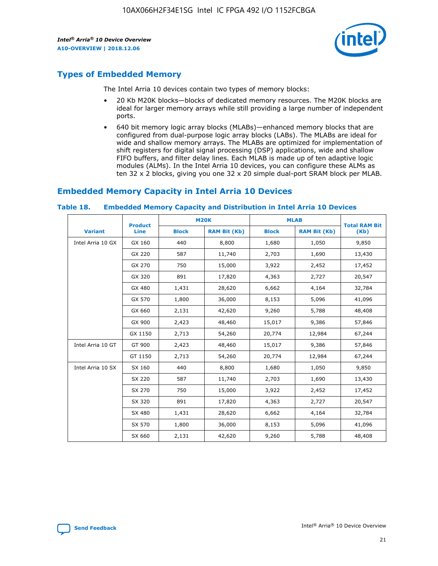

## **Types of Embedded Memory**

The Intel Arria 10 devices contain two types of memory blocks:

- 20 Kb M20K blocks—blocks of dedicated memory resources. The M20K blocks are ideal for larger memory arrays while still providing a large number of independent ports.
- 640 bit memory logic array blocks (MLABs)—enhanced memory blocks that are configured from dual-purpose logic array blocks (LABs). The MLABs are ideal for wide and shallow memory arrays. The MLABs are optimized for implementation of shift registers for digital signal processing (DSP) applications, wide and shallow FIFO buffers, and filter delay lines. Each MLAB is made up of ten adaptive logic modules (ALMs). In the Intel Arria 10 devices, you can configure these ALMs as ten 32 x 2 blocks, giving you one 32 x 20 simple dual-port SRAM block per MLAB.

## **Embedded Memory Capacity in Intel Arria 10 Devices**

|                   | <b>Product</b> |              | <b>M20K</b>         | <b>MLAB</b>  |                     | <b>Total RAM Bit</b> |
|-------------------|----------------|--------------|---------------------|--------------|---------------------|----------------------|
| <b>Variant</b>    | <b>Line</b>    | <b>Block</b> | <b>RAM Bit (Kb)</b> | <b>Block</b> | <b>RAM Bit (Kb)</b> | (Kb)                 |
| Intel Arria 10 GX | GX 160         | 440          | 8,800               | 1,680        | 1,050               | 9,850                |
|                   | GX 220         | 587          | 11,740              | 2,703        | 1,690               | 13,430               |
|                   | GX 270         | 750          | 15,000              | 3,922        | 2,452               | 17,452               |
|                   | GX 320         | 891          | 17,820              | 4,363        | 2,727               | 20,547               |
|                   | GX 480         | 1,431        | 28,620              | 6,662        | 4,164               | 32,784               |
|                   | GX 570         | 1,800        | 36,000              | 8,153        | 5,096               | 41,096               |
|                   | GX 660         | 2,131        | 42,620              | 9,260        | 5,788               | 48,408               |
|                   | GX 900         | 2,423        | 48,460              | 15,017       | 9,386               | 57,846               |
|                   | GX 1150        | 2,713        | 54,260              | 20,774       | 12,984              | 67,244               |
| Intel Arria 10 GT | GT 900         | 2,423        | 48,460              | 15,017       | 9,386               | 57,846               |
|                   | GT 1150        | 2,713        | 54,260              | 20,774       | 12,984              | 67,244               |
| Intel Arria 10 SX | SX 160         | 440          | 8,800               | 1,680        | 1,050               | 9,850                |
|                   | SX 220         | 587          | 11,740              | 2,703        | 1,690               | 13,430               |
|                   | SX 270         | 750          | 15,000              | 3,922        | 2,452               | 17,452               |
|                   | SX 320         | 891          | 17,820              | 4,363        | 2,727               | 20,547               |
|                   | SX 480         | 1,431        | 28,620              | 6,662        | 4,164               | 32,784               |
|                   | SX 570         | 1,800        | 36,000              | 8,153        | 5,096               | 41,096               |
|                   | SX 660         | 2,131        | 42,620              | 9,260        | 5,788               | 48,408               |

#### **Table 18. Embedded Memory Capacity and Distribution in Intel Arria 10 Devices**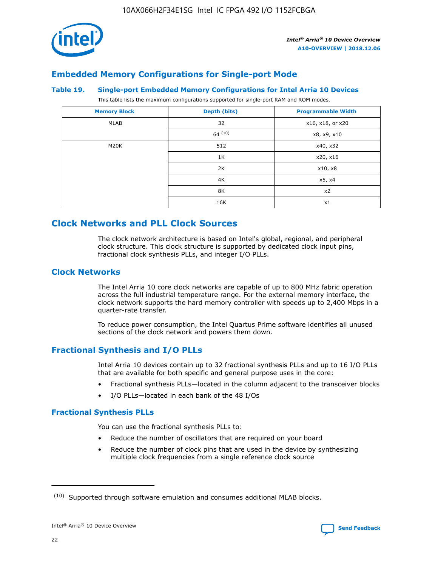

## **Embedded Memory Configurations for Single-port Mode**

## **Table 19. Single-port Embedded Memory Configurations for Intel Arria 10 Devices**

This table lists the maximum configurations supported for single-port RAM and ROM modes.

| <b>Memory Block</b> | Depth (bits) | <b>Programmable Width</b> |
|---------------------|--------------|---------------------------|
| MLAB                | 32           | x16, x18, or x20          |
|                     | 64(10)       | x8, x9, x10               |
| M20K                | 512          | x40, x32                  |
|                     | 1K           | x20, x16                  |
|                     | 2K           | x10, x8                   |
|                     | 4K           | x5, x4                    |
|                     | 8K           | x2                        |
|                     | 16K          | x1                        |

## **Clock Networks and PLL Clock Sources**

The clock network architecture is based on Intel's global, regional, and peripheral clock structure. This clock structure is supported by dedicated clock input pins, fractional clock synthesis PLLs, and integer I/O PLLs.

## **Clock Networks**

The Intel Arria 10 core clock networks are capable of up to 800 MHz fabric operation across the full industrial temperature range. For the external memory interface, the clock network supports the hard memory controller with speeds up to 2,400 Mbps in a quarter-rate transfer.

To reduce power consumption, the Intel Quartus Prime software identifies all unused sections of the clock network and powers them down.

## **Fractional Synthesis and I/O PLLs**

Intel Arria 10 devices contain up to 32 fractional synthesis PLLs and up to 16 I/O PLLs that are available for both specific and general purpose uses in the core:

- Fractional synthesis PLLs—located in the column adjacent to the transceiver blocks
- I/O PLLs—located in each bank of the 48 I/Os

## **Fractional Synthesis PLLs**

You can use the fractional synthesis PLLs to:

- Reduce the number of oscillators that are required on your board
- Reduce the number of clock pins that are used in the device by synthesizing multiple clock frequencies from a single reference clock source

<sup>(10)</sup> Supported through software emulation and consumes additional MLAB blocks.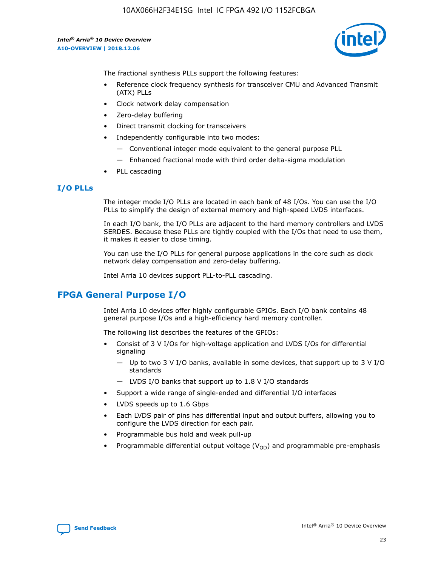10AX066H2F34E1SG Intel IC FPGA 492 I/O 1152FCBGA

*Intel® Arria® 10 Device Overview* **A10-OVERVIEW | 2018.12.06**



The fractional synthesis PLLs support the following features:

- Reference clock frequency synthesis for transceiver CMU and Advanced Transmit (ATX) PLLs
- Clock network delay compensation
- Zero-delay buffering
- Direct transmit clocking for transceivers
- Independently configurable into two modes:
	- Conventional integer mode equivalent to the general purpose PLL
	- Enhanced fractional mode with third order delta-sigma modulation
- PLL cascading

## **I/O PLLs**

The integer mode I/O PLLs are located in each bank of 48 I/Os. You can use the I/O PLLs to simplify the design of external memory and high-speed LVDS interfaces.

In each I/O bank, the I/O PLLs are adjacent to the hard memory controllers and LVDS SERDES. Because these PLLs are tightly coupled with the I/Os that need to use them, it makes it easier to close timing.

You can use the I/O PLLs for general purpose applications in the core such as clock network delay compensation and zero-delay buffering.

Intel Arria 10 devices support PLL-to-PLL cascading.

## **FPGA General Purpose I/O**

Intel Arria 10 devices offer highly configurable GPIOs. Each I/O bank contains 48 general purpose I/Os and a high-efficiency hard memory controller.

The following list describes the features of the GPIOs:

- Consist of 3 V I/Os for high-voltage application and LVDS I/Os for differential signaling
	- Up to two 3 V I/O banks, available in some devices, that support up to 3 V I/O standards
	- LVDS I/O banks that support up to 1.8 V I/O standards
- Support a wide range of single-ended and differential I/O interfaces
- LVDS speeds up to 1.6 Gbps
- Each LVDS pair of pins has differential input and output buffers, allowing you to configure the LVDS direction for each pair.
- Programmable bus hold and weak pull-up
- Programmable differential output voltage  $(V_{OD})$  and programmable pre-emphasis

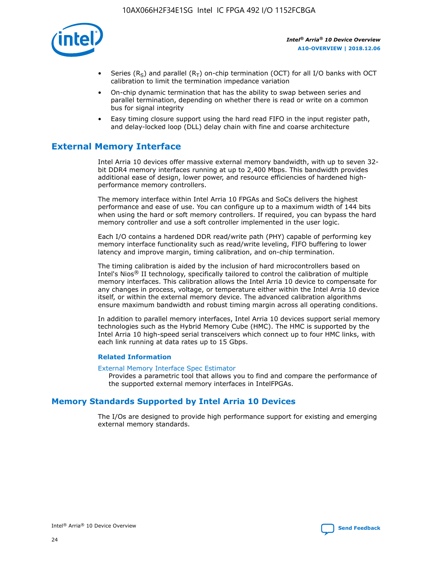

- Series (R<sub>S</sub>) and parallel (R<sub>T</sub>) on-chip termination (OCT) for all I/O banks with OCT calibration to limit the termination impedance variation
- On-chip dynamic termination that has the ability to swap between series and parallel termination, depending on whether there is read or write on a common bus for signal integrity
- Easy timing closure support using the hard read FIFO in the input register path, and delay-locked loop (DLL) delay chain with fine and coarse architecture

## **External Memory Interface**

Intel Arria 10 devices offer massive external memory bandwidth, with up to seven 32 bit DDR4 memory interfaces running at up to 2,400 Mbps. This bandwidth provides additional ease of design, lower power, and resource efficiencies of hardened highperformance memory controllers.

The memory interface within Intel Arria 10 FPGAs and SoCs delivers the highest performance and ease of use. You can configure up to a maximum width of 144 bits when using the hard or soft memory controllers. If required, you can bypass the hard memory controller and use a soft controller implemented in the user logic.

Each I/O contains a hardened DDR read/write path (PHY) capable of performing key memory interface functionality such as read/write leveling, FIFO buffering to lower latency and improve margin, timing calibration, and on-chip termination.

The timing calibration is aided by the inclusion of hard microcontrollers based on Intel's Nios® II technology, specifically tailored to control the calibration of multiple memory interfaces. This calibration allows the Intel Arria 10 device to compensate for any changes in process, voltage, or temperature either within the Intel Arria 10 device itself, or within the external memory device. The advanced calibration algorithms ensure maximum bandwidth and robust timing margin across all operating conditions.

In addition to parallel memory interfaces, Intel Arria 10 devices support serial memory technologies such as the Hybrid Memory Cube (HMC). The HMC is supported by the Intel Arria 10 high-speed serial transceivers which connect up to four HMC links, with each link running at data rates up to 15 Gbps.

## **Related Information**

#### [External Memory Interface Spec Estimator](http://www.altera.com/technology/memory/estimator/mem-emif-index.html)

Provides a parametric tool that allows you to find and compare the performance of the supported external memory interfaces in IntelFPGAs.

## **Memory Standards Supported by Intel Arria 10 Devices**

The I/Os are designed to provide high performance support for existing and emerging external memory standards.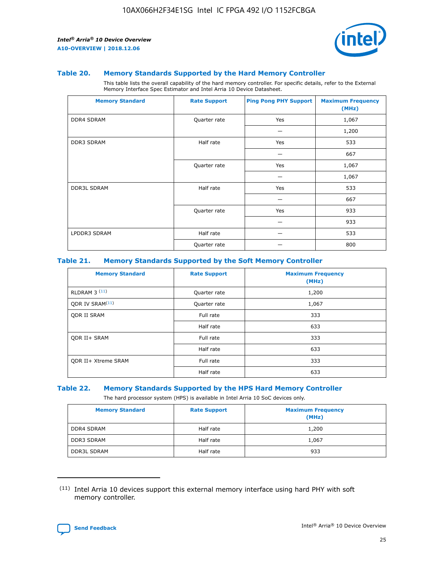

## **Table 20. Memory Standards Supported by the Hard Memory Controller**

This table lists the overall capability of the hard memory controller. For specific details, refer to the External Memory Interface Spec Estimator and Intel Arria 10 Device Datasheet.

| <b>Memory Standard</b> | <b>Rate Support</b> | <b>Ping Pong PHY Support</b> | <b>Maximum Frequency</b><br>(MHz) |
|------------------------|---------------------|------------------------------|-----------------------------------|
| <b>DDR4 SDRAM</b>      | Quarter rate        | Yes                          | 1,067                             |
|                        |                     |                              | 1,200                             |
| <b>DDR3 SDRAM</b>      | Half rate           | Yes                          | 533                               |
|                        |                     |                              | 667                               |
|                        | Quarter rate        | Yes                          | 1,067                             |
|                        |                     |                              | 1,067                             |
| <b>DDR3L SDRAM</b>     | Half rate           | Yes                          | 533                               |
|                        |                     |                              | 667                               |
|                        | Quarter rate        | Yes                          | 933                               |
|                        |                     |                              | 933                               |
| LPDDR3 SDRAM           | Half rate           |                              | 533                               |
|                        | Quarter rate        |                              | 800                               |

## **Table 21. Memory Standards Supported by the Soft Memory Controller**

| <b>Memory Standard</b>      | <b>Rate Support</b> | <b>Maximum Frequency</b><br>(MHz) |
|-----------------------------|---------------------|-----------------------------------|
| <b>RLDRAM 3 (11)</b>        | Quarter rate        | 1,200                             |
| ODR IV SRAM <sup>(11)</sup> | Quarter rate        | 1,067                             |
| <b>ODR II SRAM</b>          | Full rate           | 333                               |
|                             | Half rate           | 633                               |
| <b>ODR II+ SRAM</b>         | Full rate           | 333                               |
|                             | Half rate           | 633                               |
| <b>ODR II+ Xtreme SRAM</b>  | Full rate           | 333                               |
|                             | Half rate           | 633                               |

#### **Table 22. Memory Standards Supported by the HPS Hard Memory Controller**

The hard processor system (HPS) is available in Intel Arria 10 SoC devices only.

| <b>Memory Standard</b> | <b>Rate Support</b> | <b>Maximum Frequency</b><br>(MHz) |
|------------------------|---------------------|-----------------------------------|
| <b>DDR4 SDRAM</b>      | Half rate           | 1,200                             |
| <b>DDR3 SDRAM</b>      | Half rate           | 1,067                             |
| <b>DDR3L SDRAM</b>     | Half rate           | 933                               |

<sup>(11)</sup> Intel Arria 10 devices support this external memory interface using hard PHY with soft memory controller.

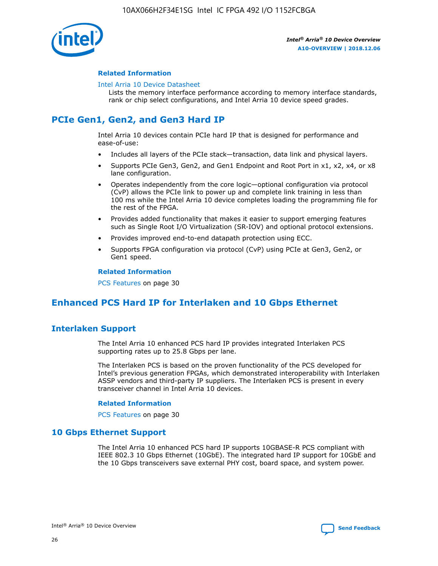

## **Related Information**

#### [Intel Arria 10 Device Datasheet](https://www.intel.com/content/www/us/en/programmable/documentation/mcn1413182292568.html#mcn1413182153340)

Lists the memory interface performance according to memory interface standards, rank or chip select configurations, and Intel Arria 10 device speed grades.

# **PCIe Gen1, Gen2, and Gen3 Hard IP**

Intel Arria 10 devices contain PCIe hard IP that is designed for performance and ease-of-use:

- Includes all layers of the PCIe stack—transaction, data link and physical layers.
- Supports PCIe Gen3, Gen2, and Gen1 Endpoint and Root Port in x1, x2, x4, or x8 lane configuration.
- Operates independently from the core logic—optional configuration via protocol (CvP) allows the PCIe link to power up and complete link training in less than 100 ms while the Intel Arria 10 device completes loading the programming file for the rest of the FPGA.
- Provides added functionality that makes it easier to support emerging features such as Single Root I/O Virtualization (SR-IOV) and optional protocol extensions.
- Provides improved end-to-end datapath protection using ECC.
- Supports FPGA configuration via protocol (CvP) using PCIe at Gen3, Gen2, or Gen1 speed.

#### **Related Information**

PCS Features on page 30

## **Enhanced PCS Hard IP for Interlaken and 10 Gbps Ethernet**

## **Interlaken Support**

The Intel Arria 10 enhanced PCS hard IP provides integrated Interlaken PCS supporting rates up to 25.8 Gbps per lane.

The Interlaken PCS is based on the proven functionality of the PCS developed for Intel's previous generation FPGAs, which demonstrated interoperability with Interlaken ASSP vendors and third-party IP suppliers. The Interlaken PCS is present in every transceiver channel in Intel Arria 10 devices.

## **Related Information**

PCS Features on page 30

## **10 Gbps Ethernet Support**

The Intel Arria 10 enhanced PCS hard IP supports 10GBASE-R PCS compliant with IEEE 802.3 10 Gbps Ethernet (10GbE). The integrated hard IP support for 10GbE and the 10 Gbps transceivers save external PHY cost, board space, and system power.

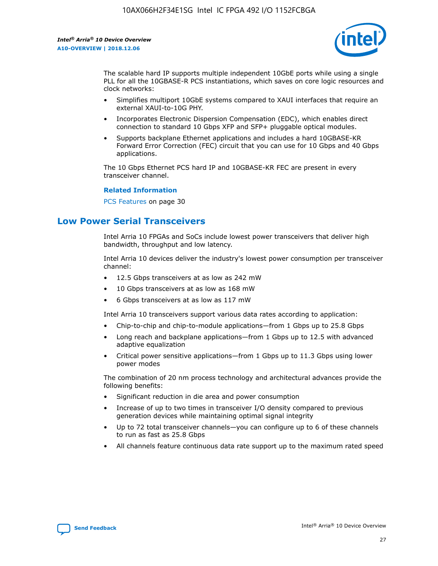

The scalable hard IP supports multiple independent 10GbE ports while using a single PLL for all the 10GBASE-R PCS instantiations, which saves on core logic resources and clock networks:

- Simplifies multiport 10GbE systems compared to XAUI interfaces that require an external XAUI-to-10G PHY.
- Incorporates Electronic Dispersion Compensation (EDC), which enables direct connection to standard 10 Gbps XFP and SFP+ pluggable optical modules.
- Supports backplane Ethernet applications and includes a hard 10GBASE-KR Forward Error Correction (FEC) circuit that you can use for 10 Gbps and 40 Gbps applications.

The 10 Gbps Ethernet PCS hard IP and 10GBASE-KR FEC are present in every transceiver channel.

## **Related Information**

PCS Features on page 30

## **Low Power Serial Transceivers**

Intel Arria 10 FPGAs and SoCs include lowest power transceivers that deliver high bandwidth, throughput and low latency.

Intel Arria 10 devices deliver the industry's lowest power consumption per transceiver channel:

- 12.5 Gbps transceivers at as low as 242 mW
- 10 Gbps transceivers at as low as 168 mW
- 6 Gbps transceivers at as low as 117 mW

Intel Arria 10 transceivers support various data rates according to application:

- Chip-to-chip and chip-to-module applications—from 1 Gbps up to 25.8 Gbps
- Long reach and backplane applications—from 1 Gbps up to 12.5 with advanced adaptive equalization
- Critical power sensitive applications—from 1 Gbps up to 11.3 Gbps using lower power modes

The combination of 20 nm process technology and architectural advances provide the following benefits:

- Significant reduction in die area and power consumption
- Increase of up to two times in transceiver I/O density compared to previous generation devices while maintaining optimal signal integrity
- Up to 72 total transceiver channels—you can configure up to 6 of these channels to run as fast as 25.8 Gbps
- All channels feature continuous data rate support up to the maximum rated speed

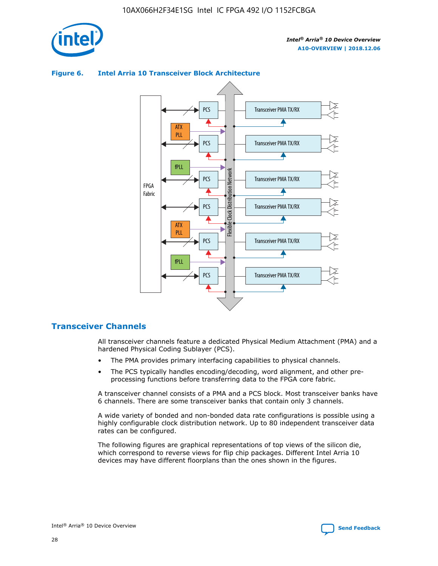



## **Figure 6. Intel Arria 10 Transceiver Block Architecture**

## **Transceiver Channels**

All transceiver channels feature a dedicated Physical Medium Attachment (PMA) and a hardened Physical Coding Sublayer (PCS).

- The PMA provides primary interfacing capabilities to physical channels.
- The PCS typically handles encoding/decoding, word alignment, and other preprocessing functions before transferring data to the FPGA core fabric.

A transceiver channel consists of a PMA and a PCS block. Most transceiver banks have 6 channels. There are some transceiver banks that contain only 3 channels.

A wide variety of bonded and non-bonded data rate configurations is possible using a highly configurable clock distribution network. Up to 80 independent transceiver data rates can be configured.

The following figures are graphical representations of top views of the silicon die, which correspond to reverse views for flip chip packages. Different Intel Arria 10 devices may have different floorplans than the ones shown in the figures.

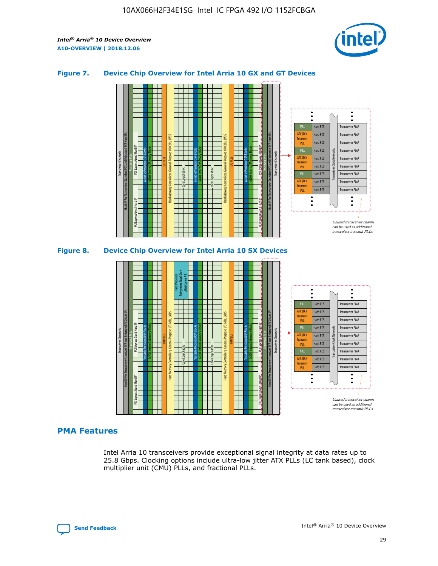

## **Figure 7. Device Chip Overview for Intel Arria 10 GX and GT Devices**



M20K Internal Memory Blocks Core Logic Fabric Transceiver Channels Hard IP Per Transceiver: Standard PCS and Enhanced PCS Hard IPs PCI Express Gen3 Hard IP Fractional PLLs M20K Internal Memory Blocks PCI Express Gen3 Hard IP Variable Precision DSP Blocks I/O PLLs Hard Memory Controllers, General-Purpose I/O Cells, LVDS Hard Processor Subsystem, Dual-Core ARM Cortex A9 M20K Internal Memory Blocks Variable Precision DSP Blocks M20K Internal Memory Blocks Core Logic Fabric I/O PLLs Hard Memory Controllers, General-Purpose I/O Cells, LVDS M20K Internal Memory Blocks Variable Precision DSP Blocks M20K Internal Memory Blocks Transceiver Channels Hard IP Per Transceiver: Standard PCS and Enhanced PCS Hard IPs PCI Express Gen3 Hard IP Fractional PLLs PCI Express Gen3 Hard IP Hard PCS Hard PCS Hard PCS Hard PCS Hard PCS Hard PCS Hard PCS Hard PCS Transceiver PMA Transceiver PMA Transceiver PMA Transceiver PMA Transceiver PMA Transceiver PMA Unused transceiver chann can be used as additional transceiver transmit PLLs Transceiver PMA Transceiver PMA Transceiver Clock Networks ATX (LC) **Transmit** PLL fPLL ATX (LC) Transmi PLL fPLL ATX (LC) **Transmit** PLL

## **PMA Features**

Intel Arria 10 transceivers provide exceptional signal integrity at data rates up to 25.8 Gbps. Clocking options include ultra-low jitter ATX PLLs (LC tank based), clock multiplier unit (CMU) PLLs, and fractional PLLs.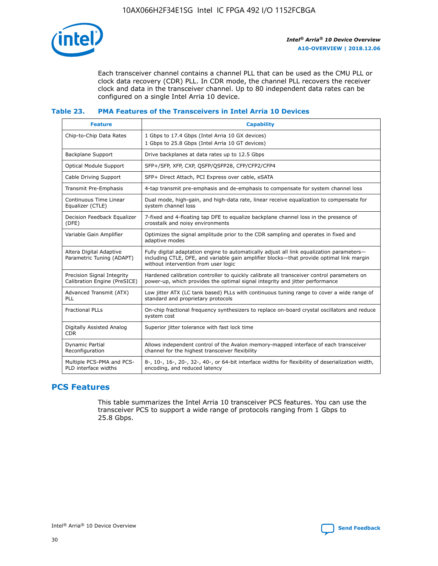

Each transceiver channel contains a channel PLL that can be used as the CMU PLL or clock data recovery (CDR) PLL. In CDR mode, the channel PLL recovers the receiver clock and data in the transceiver channel. Up to 80 independent data rates can be configured on a single Intel Arria 10 device.

## **Table 23. PMA Features of the Transceivers in Intel Arria 10 Devices**

| <b>Feature</b>                                             | <b>Capability</b>                                                                                                                                                                                                             |
|------------------------------------------------------------|-------------------------------------------------------------------------------------------------------------------------------------------------------------------------------------------------------------------------------|
| Chip-to-Chip Data Rates                                    | 1 Gbps to 17.4 Gbps (Intel Arria 10 GX devices)<br>1 Gbps to 25.8 Gbps (Intel Arria 10 GT devices)                                                                                                                            |
| <b>Backplane Support</b>                                   | Drive backplanes at data rates up to 12.5 Gbps                                                                                                                                                                                |
| Optical Module Support                                     | SFP+/SFP, XFP, CXP, QSFP/QSFP28, CFP/CFP2/CFP4                                                                                                                                                                                |
| Cable Driving Support                                      | SFP+ Direct Attach, PCI Express over cable, eSATA                                                                                                                                                                             |
| Transmit Pre-Emphasis                                      | 4-tap transmit pre-emphasis and de-emphasis to compensate for system channel loss                                                                                                                                             |
| Continuous Time Linear<br>Equalizer (CTLE)                 | Dual mode, high-gain, and high-data rate, linear receive equalization to compensate for<br>system channel loss                                                                                                                |
| Decision Feedback Equalizer<br>(DFE)                       | 7-fixed and 4-floating tap DFE to equalize backplane channel loss in the presence of<br>crosstalk and noisy environments                                                                                                      |
| Variable Gain Amplifier                                    | Optimizes the signal amplitude prior to the CDR sampling and operates in fixed and<br>adaptive modes                                                                                                                          |
| Altera Digital Adaptive<br>Parametric Tuning (ADAPT)       | Fully digital adaptation engine to automatically adjust all link equalization parameters-<br>including CTLE, DFE, and variable gain amplifier blocks—that provide optimal link margin<br>without intervention from user logic |
| Precision Signal Integrity<br>Calibration Engine (PreSICE) | Hardened calibration controller to quickly calibrate all transceiver control parameters on<br>power-up, which provides the optimal signal integrity and jitter performance                                                    |
| Advanced Transmit (ATX)<br><b>PLL</b>                      | Low jitter ATX (LC tank based) PLLs with continuous tuning range to cover a wide range of<br>standard and proprietary protocols                                                                                               |
| <b>Fractional PLLs</b>                                     | On-chip fractional frequency synthesizers to replace on-board crystal oscillators and reduce<br>system cost                                                                                                                   |
| Digitally Assisted Analog<br><b>CDR</b>                    | Superior jitter tolerance with fast lock time                                                                                                                                                                                 |
| Dynamic Partial<br>Reconfiguration                         | Allows independent control of the Avalon memory-mapped interface of each transceiver<br>channel for the highest transceiver flexibility                                                                                       |
| Multiple PCS-PMA and PCS-<br>PLD interface widths          | 8-, 10-, 16-, 20-, 32-, 40-, or 64-bit interface widths for flexibility of deserialization width,<br>encoding, and reduced latency                                                                                            |

## **PCS Features**

This table summarizes the Intel Arria 10 transceiver PCS features. You can use the transceiver PCS to support a wide range of protocols ranging from 1 Gbps to 25.8 Gbps.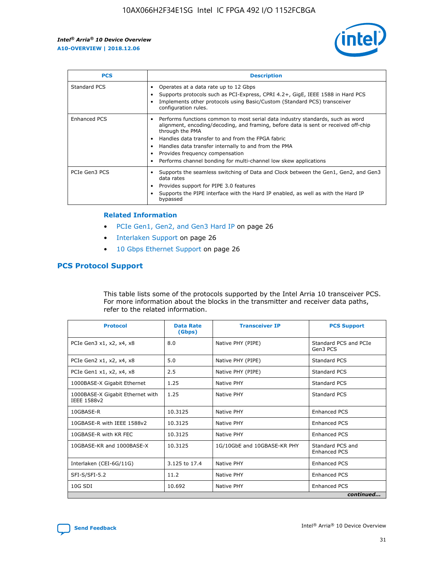

| <b>PCS</b>    | <b>Description</b>                                                                                                                                                                                                                                                                                                                                                                                             |
|---------------|----------------------------------------------------------------------------------------------------------------------------------------------------------------------------------------------------------------------------------------------------------------------------------------------------------------------------------------------------------------------------------------------------------------|
| Standard PCS  | Operates at a data rate up to 12 Gbps<br>Supports protocols such as PCI-Express, CPRI 4.2+, GigE, IEEE 1588 in Hard PCS<br>Implements other protocols using Basic/Custom (Standard PCS) transceiver<br>configuration rules.                                                                                                                                                                                    |
| Enhanced PCS  | Performs functions common to most serial data industry standards, such as word<br>alignment, encoding/decoding, and framing, before data is sent or received off-chip<br>through the PMA<br>• Handles data transfer to and from the FPGA fabric<br>Handles data transfer internally to and from the PMA<br>Provides frequency compensation<br>Performs channel bonding for multi-channel low skew applications |
| PCIe Gen3 PCS | Supports the seamless switching of Data and Clock between the Gen1, Gen2, and Gen3<br>data rates<br>Provides support for PIPE 3.0 features<br>Supports the PIPE interface with the Hard IP enabled, as well as with the Hard IP<br>bypassed                                                                                                                                                                    |

#### **Related Information**

- PCIe Gen1, Gen2, and Gen3 Hard IP on page 26
- Interlaken Support on page 26
- 10 Gbps Ethernet Support on page 26

## **PCS Protocol Support**

This table lists some of the protocols supported by the Intel Arria 10 transceiver PCS. For more information about the blocks in the transmitter and receiver data paths, refer to the related information.

| <b>Protocol</b>                                 | <b>Data Rate</b><br>(Gbps) | <b>Transceiver IP</b>       | <b>PCS Support</b>                      |
|-------------------------------------------------|----------------------------|-----------------------------|-----------------------------------------|
| PCIe Gen3 x1, x2, x4, x8                        | 8.0                        | Native PHY (PIPE)           | Standard PCS and PCIe<br>Gen3 PCS       |
| PCIe Gen2 x1, x2, x4, x8                        | 5.0                        | Native PHY (PIPE)           | <b>Standard PCS</b>                     |
| PCIe Gen1 x1, x2, x4, x8                        | 2.5                        | Native PHY (PIPE)           | Standard PCS                            |
| 1000BASE-X Gigabit Ethernet                     | 1.25                       | Native PHY                  | <b>Standard PCS</b>                     |
| 1000BASE-X Gigabit Ethernet with<br>IEEE 1588v2 | 1.25                       | Native PHY                  | Standard PCS                            |
| 10GBASE-R                                       | 10.3125                    | Native PHY                  | <b>Enhanced PCS</b>                     |
| 10GBASE-R with IEEE 1588v2                      | 10.3125                    | Native PHY                  | <b>Enhanced PCS</b>                     |
| 10GBASE-R with KR FEC                           | 10.3125                    | Native PHY                  | <b>Enhanced PCS</b>                     |
| 10GBASE-KR and 1000BASE-X                       | 10.3125                    | 1G/10GbE and 10GBASE-KR PHY | Standard PCS and<br><b>Enhanced PCS</b> |
| Interlaken (CEI-6G/11G)                         | 3.125 to 17.4              | Native PHY                  | <b>Enhanced PCS</b>                     |
| SFI-S/SFI-5.2                                   | 11.2                       | Native PHY                  | <b>Enhanced PCS</b>                     |
| $10G$ SDI                                       | 10.692                     | Native PHY                  | <b>Enhanced PCS</b>                     |
|                                                 |                            |                             | continued                               |

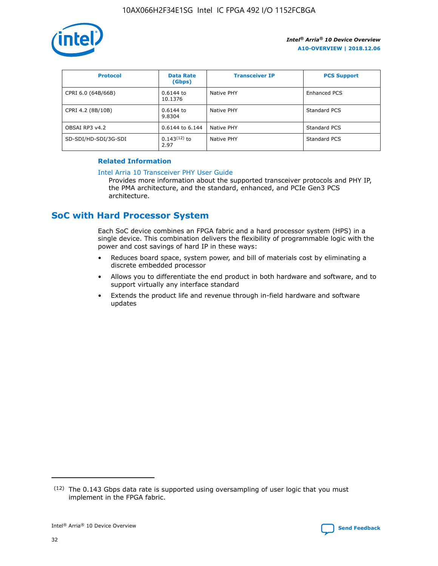

| <b>Protocol</b>      | <b>Data Rate</b><br>(Gbps) | <b>Transceiver IP</b> | <b>PCS Support</b> |
|----------------------|----------------------------|-----------------------|--------------------|
| CPRI 6.0 (64B/66B)   | 0.6144 to<br>10.1376       | Native PHY            | Enhanced PCS       |
| CPRI 4.2 (8B/10B)    | 0.6144 to<br>9.8304        | Native PHY            | Standard PCS       |
| OBSAI RP3 v4.2       | 0.6144 to 6.144            | Native PHY            | Standard PCS       |
| SD-SDI/HD-SDI/3G-SDI | $0.143(12)$ to<br>2.97     | Native PHY            | Standard PCS       |

## **Related Information**

#### [Intel Arria 10 Transceiver PHY User Guide](https://www.intel.com/content/www/us/en/programmable/documentation/nik1398707230472.html#nik1398707091164)

Provides more information about the supported transceiver protocols and PHY IP, the PMA architecture, and the standard, enhanced, and PCIe Gen3 PCS architecture.

## **SoC with Hard Processor System**

Each SoC device combines an FPGA fabric and a hard processor system (HPS) in a single device. This combination delivers the flexibility of programmable logic with the power and cost savings of hard IP in these ways:

- Reduces board space, system power, and bill of materials cost by eliminating a discrete embedded processor
- Allows you to differentiate the end product in both hardware and software, and to support virtually any interface standard
- Extends the product life and revenue through in-field hardware and software updates

 $(12)$  The 0.143 Gbps data rate is supported using oversampling of user logic that you must implement in the FPGA fabric.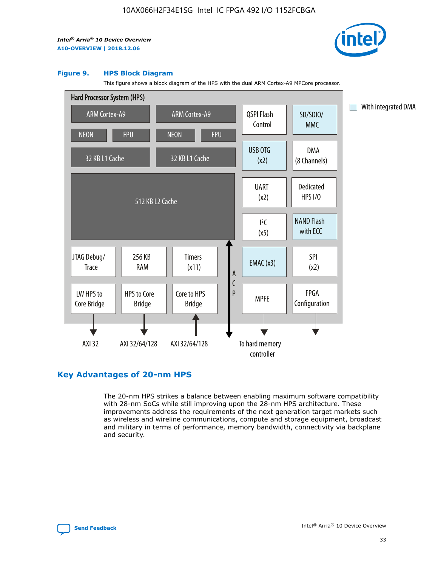

#### **Figure 9. HPS Block Diagram**

This figure shows a block diagram of the HPS with the dual ARM Cortex-A9 MPCore processor.



## **Key Advantages of 20-nm HPS**

The 20-nm HPS strikes a balance between enabling maximum software compatibility with 28-nm SoCs while still improving upon the 28-nm HPS architecture. These improvements address the requirements of the next generation target markets such as wireless and wireline communications, compute and storage equipment, broadcast and military in terms of performance, memory bandwidth, connectivity via backplane and security.

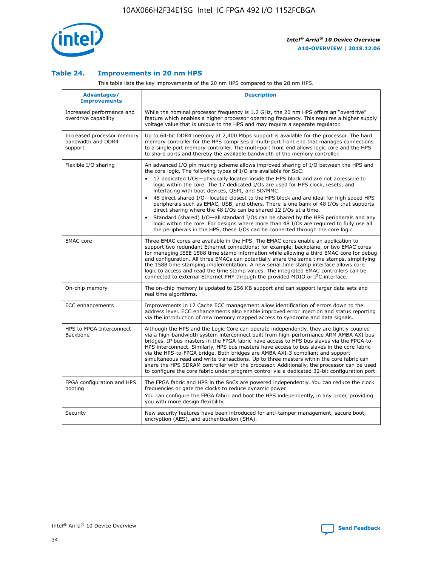

## **Table 24. Improvements in 20 nm HPS**

This table lists the key improvements of the 20 nm HPS compared to the 28 nm HPS.

| Advantages/<br><b>Improvements</b>                          | <b>Description</b>                                                                                                                                                                                                                                                                                                                                                                                                                                                                                                                                                                                                                                                                                                                                                                                                                                                                                                      |
|-------------------------------------------------------------|-------------------------------------------------------------------------------------------------------------------------------------------------------------------------------------------------------------------------------------------------------------------------------------------------------------------------------------------------------------------------------------------------------------------------------------------------------------------------------------------------------------------------------------------------------------------------------------------------------------------------------------------------------------------------------------------------------------------------------------------------------------------------------------------------------------------------------------------------------------------------------------------------------------------------|
| Increased performance and<br>overdrive capability           | While the nominal processor frequency is 1.2 GHz, the 20 nm HPS offers an "overdrive"<br>feature which enables a higher processor operating frequency. This requires a higher supply<br>voltage value that is unique to the HPS and may require a separate regulator.                                                                                                                                                                                                                                                                                                                                                                                                                                                                                                                                                                                                                                                   |
| Increased processor memory<br>bandwidth and DDR4<br>support | Up to 64-bit DDR4 memory at 2,400 Mbps support is available for the processor. The hard<br>memory controller for the HPS comprises a multi-port front end that manages connections<br>to a single port memory controller. The multi-port front end allows logic core and the HPS<br>to share ports and thereby the available bandwidth of the memory controller.                                                                                                                                                                                                                                                                                                                                                                                                                                                                                                                                                        |
| Flexible I/O sharing                                        | An advanced I/O pin muxing scheme allows improved sharing of I/O between the HPS and<br>the core logic. The following types of I/O are available for SoC:<br>17 dedicated I/Os-physically located inside the HPS block and are not accessible to<br>logic within the core. The 17 dedicated I/Os are used for HPS clock, resets, and<br>interfacing with boot devices, QSPI, and SD/MMC.<br>48 direct shared I/O-located closest to the HPS block and are ideal for high speed HPS<br>peripherals such as EMAC, USB, and others. There is one bank of 48 I/Os that supports<br>direct sharing where the 48 I/Os can be shared 12 I/Os at a time.<br>Standard (shared) I/O-all standard I/Os can be shared by the HPS peripherals and any<br>logic within the core. For designs where more than 48 I/Os are reguired to fully use all<br>the peripherals in the HPS, these I/Os can be connected through the core logic. |
| <b>EMAC</b> core                                            | Three EMAC cores are available in the HPS. The EMAC cores enable an application to<br>support two redundant Ethernet connections; for example, backplane, or two EMAC cores<br>for managing IEEE 1588 time stamp information while allowing a third EMAC core for debug<br>and configuration. All three EMACs can potentially share the same time stamps, simplifying<br>the 1588 time stamping implementation. A new serial time stamp interface allows core<br>logic to access and read the time stamp values. The integrated EMAC controllers can be<br>connected to external Ethernet PHY through the provided MDIO or I <sup>2</sup> C interface.                                                                                                                                                                                                                                                                  |
| On-chip memory                                              | The on-chip memory is updated to 256 KB support and can support larger data sets and<br>real time algorithms.                                                                                                                                                                                                                                                                                                                                                                                                                                                                                                                                                                                                                                                                                                                                                                                                           |
| <b>ECC</b> enhancements                                     | Improvements in L2 Cache ECC management allow identification of errors down to the<br>address level. ECC enhancements also enable improved error injection and status reporting<br>via the introduction of new memory mapped access to syndrome and data signals.                                                                                                                                                                                                                                                                                                                                                                                                                                                                                                                                                                                                                                                       |
| HPS to FPGA Interconnect<br>Backbone                        | Although the HPS and the Logic Core can operate independently, they are tightly coupled<br>via a high-bandwidth system interconnect built from high-performance ARM AMBA AXI bus<br>bridges. IP bus masters in the FPGA fabric have access to HPS bus slaves via the FPGA-to-<br>HPS interconnect. Similarly, HPS bus masters have access to bus slaves in the core fabric<br>via the HPS-to-FPGA bridge. Both bridges are AMBA AXI-3 compliant and support<br>simultaneous read and write transactions. Up to three masters within the core fabric can<br>share the HPS SDRAM controller with the processor. Additionally, the processor can be used<br>to configure the core fabric under program control via a dedicated 32-bit configuration port.                                                                                                                                                                  |
| FPGA configuration and HPS<br>booting                       | The FPGA fabric and HPS in the SoCs are powered independently. You can reduce the clock<br>frequencies or gate the clocks to reduce dynamic power.<br>You can configure the FPGA fabric and boot the HPS independently, in any order, providing<br>you with more design flexibility.                                                                                                                                                                                                                                                                                                                                                                                                                                                                                                                                                                                                                                    |
| Security                                                    | New security features have been introduced for anti-tamper management, secure boot,<br>encryption (AES), and authentication (SHA).                                                                                                                                                                                                                                                                                                                                                                                                                                                                                                                                                                                                                                                                                                                                                                                      |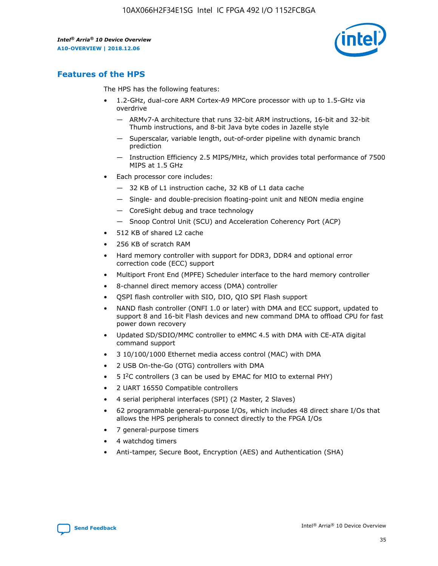

## **Features of the HPS**

The HPS has the following features:

- 1.2-GHz, dual-core ARM Cortex-A9 MPCore processor with up to 1.5-GHz via overdrive
	- ARMv7-A architecture that runs 32-bit ARM instructions, 16-bit and 32-bit Thumb instructions, and 8-bit Java byte codes in Jazelle style
	- Superscalar, variable length, out-of-order pipeline with dynamic branch prediction
	- Instruction Efficiency 2.5 MIPS/MHz, which provides total performance of 7500 MIPS at 1.5 GHz
- Each processor core includes:
	- 32 KB of L1 instruction cache, 32 KB of L1 data cache
	- Single- and double-precision floating-point unit and NEON media engine
	- CoreSight debug and trace technology
	- Snoop Control Unit (SCU) and Acceleration Coherency Port (ACP)
- 512 KB of shared L2 cache
- 256 KB of scratch RAM
- Hard memory controller with support for DDR3, DDR4 and optional error correction code (ECC) support
- Multiport Front End (MPFE) Scheduler interface to the hard memory controller
- 8-channel direct memory access (DMA) controller
- QSPI flash controller with SIO, DIO, QIO SPI Flash support
- NAND flash controller (ONFI 1.0 or later) with DMA and ECC support, updated to support 8 and 16-bit Flash devices and new command DMA to offload CPU for fast power down recovery
- Updated SD/SDIO/MMC controller to eMMC 4.5 with DMA with CE-ATA digital command support
- 3 10/100/1000 Ethernet media access control (MAC) with DMA
- 2 USB On-the-Go (OTG) controllers with DMA
- $\bullet$  5 I<sup>2</sup>C controllers (3 can be used by EMAC for MIO to external PHY)
- 2 UART 16550 Compatible controllers
- 4 serial peripheral interfaces (SPI) (2 Master, 2 Slaves)
- 62 programmable general-purpose I/Os, which includes 48 direct share I/Os that allows the HPS peripherals to connect directly to the FPGA I/Os
- 7 general-purpose timers
- 4 watchdog timers
- Anti-tamper, Secure Boot, Encryption (AES) and Authentication (SHA)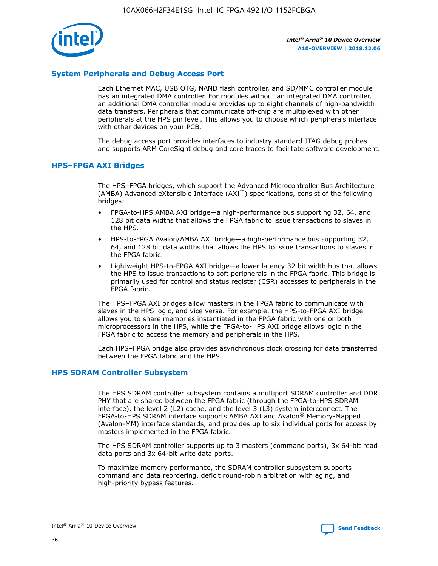

## **System Peripherals and Debug Access Port**

Each Ethernet MAC, USB OTG, NAND flash controller, and SD/MMC controller module has an integrated DMA controller. For modules without an integrated DMA controller, an additional DMA controller module provides up to eight channels of high-bandwidth data transfers. Peripherals that communicate off-chip are multiplexed with other peripherals at the HPS pin level. This allows you to choose which peripherals interface with other devices on your PCB.

The debug access port provides interfaces to industry standard JTAG debug probes and supports ARM CoreSight debug and core traces to facilitate software development.

## **HPS–FPGA AXI Bridges**

The HPS–FPGA bridges, which support the Advanced Microcontroller Bus Architecture (AMBA) Advanced eXtensible Interface (AXI™) specifications, consist of the following bridges:

- FPGA-to-HPS AMBA AXI bridge—a high-performance bus supporting 32, 64, and 128 bit data widths that allows the FPGA fabric to issue transactions to slaves in the HPS.
- HPS-to-FPGA Avalon/AMBA AXI bridge—a high-performance bus supporting 32, 64, and 128 bit data widths that allows the HPS to issue transactions to slaves in the FPGA fabric.
- Lightweight HPS-to-FPGA AXI bridge—a lower latency 32 bit width bus that allows the HPS to issue transactions to soft peripherals in the FPGA fabric. This bridge is primarily used for control and status register (CSR) accesses to peripherals in the FPGA fabric.

The HPS–FPGA AXI bridges allow masters in the FPGA fabric to communicate with slaves in the HPS logic, and vice versa. For example, the HPS-to-FPGA AXI bridge allows you to share memories instantiated in the FPGA fabric with one or both microprocessors in the HPS, while the FPGA-to-HPS AXI bridge allows logic in the FPGA fabric to access the memory and peripherals in the HPS.

Each HPS–FPGA bridge also provides asynchronous clock crossing for data transferred between the FPGA fabric and the HPS.

#### **HPS SDRAM Controller Subsystem**

The HPS SDRAM controller subsystem contains a multiport SDRAM controller and DDR PHY that are shared between the FPGA fabric (through the FPGA-to-HPS SDRAM interface), the level 2 (L2) cache, and the level 3 (L3) system interconnect. The FPGA-to-HPS SDRAM interface supports AMBA AXI and Avalon® Memory-Mapped (Avalon-MM) interface standards, and provides up to six individual ports for access by masters implemented in the FPGA fabric.

The HPS SDRAM controller supports up to 3 masters (command ports), 3x 64-bit read data ports and 3x 64-bit write data ports.

To maximize memory performance, the SDRAM controller subsystem supports command and data reordering, deficit round-robin arbitration with aging, and high-priority bypass features.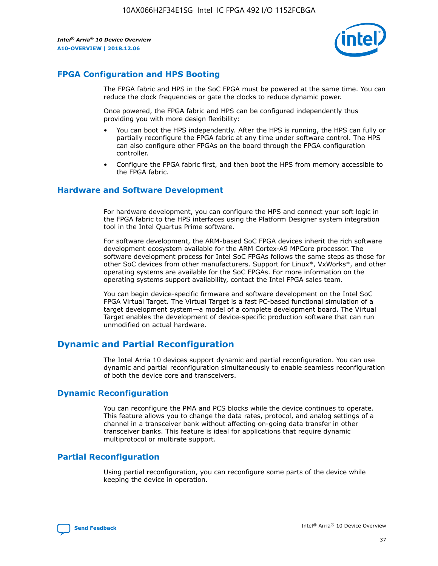

## **FPGA Configuration and HPS Booting**

The FPGA fabric and HPS in the SoC FPGA must be powered at the same time. You can reduce the clock frequencies or gate the clocks to reduce dynamic power.

Once powered, the FPGA fabric and HPS can be configured independently thus providing you with more design flexibility:

- You can boot the HPS independently. After the HPS is running, the HPS can fully or partially reconfigure the FPGA fabric at any time under software control. The HPS can also configure other FPGAs on the board through the FPGA configuration controller.
- Configure the FPGA fabric first, and then boot the HPS from memory accessible to the FPGA fabric.

## **Hardware and Software Development**

For hardware development, you can configure the HPS and connect your soft logic in the FPGA fabric to the HPS interfaces using the Platform Designer system integration tool in the Intel Quartus Prime software.

For software development, the ARM-based SoC FPGA devices inherit the rich software development ecosystem available for the ARM Cortex-A9 MPCore processor. The software development process for Intel SoC FPGAs follows the same steps as those for other SoC devices from other manufacturers. Support for Linux\*, VxWorks\*, and other operating systems are available for the SoC FPGAs. For more information on the operating systems support availability, contact the Intel FPGA sales team.

You can begin device-specific firmware and software development on the Intel SoC FPGA Virtual Target. The Virtual Target is a fast PC-based functional simulation of a target development system—a model of a complete development board. The Virtual Target enables the development of device-specific production software that can run unmodified on actual hardware.

## **Dynamic and Partial Reconfiguration**

The Intel Arria 10 devices support dynamic and partial reconfiguration. You can use dynamic and partial reconfiguration simultaneously to enable seamless reconfiguration of both the device core and transceivers.

## **Dynamic Reconfiguration**

You can reconfigure the PMA and PCS blocks while the device continues to operate. This feature allows you to change the data rates, protocol, and analog settings of a channel in a transceiver bank without affecting on-going data transfer in other transceiver banks. This feature is ideal for applications that require dynamic multiprotocol or multirate support.

## **Partial Reconfiguration**

Using partial reconfiguration, you can reconfigure some parts of the device while keeping the device in operation.

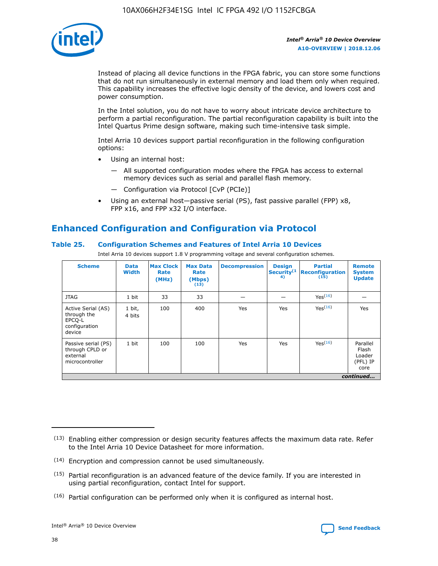

Instead of placing all device functions in the FPGA fabric, you can store some functions that do not run simultaneously in external memory and load them only when required. This capability increases the effective logic density of the device, and lowers cost and power consumption.

In the Intel solution, you do not have to worry about intricate device architecture to perform a partial reconfiguration. The partial reconfiguration capability is built into the Intel Quartus Prime design software, making such time-intensive task simple.

Intel Arria 10 devices support partial reconfiguration in the following configuration options:

- Using an internal host:
	- All supported configuration modes where the FPGA has access to external memory devices such as serial and parallel flash memory.
	- Configuration via Protocol [CvP (PCIe)]
- Using an external host—passive serial (PS), fast passive parallel (FPP) x8, FPP x16, and FPP x32 I/O interface.

# **Enhanced Configuration and Configuration via Protocol**

## **Table 25. Configuration Schemes and Features of Intel Arria 10 Devices**

Intel Arria 10 devices support 1.8 V programming voltage and several configuration schemes.

| <b>Scheme</b>                                                          | <b>Data</b><br><b>Width</b> | <b>Max Clock</b><br>Rate<br>(MHz) | <b>Max Data</b><br>Rate<br>(Mbps)<br>(13) | <b>Decompression</b> | <b>Design</b><br>Security <sup>(1</sup><br>4) | <b>Partial</b><br>Reconfiguration<br>(15) | <b>Remote</b><br><b>System</b><br><b>Update</b> |
|------------------------------------------------------------------------|-----------------------------|-----------------------------------|-------------------------------------------|----------------------|-----------------------------------------------|-------------------------------------------|-------------------------------------------------|
| <b>JTAG</b>                                                            | 1 bit                       | 33                                | 33                                        |                      |                                               | Yes <sup>(16)</sup>                       |                                                 |
| Active Serial (AS)<br>through the<br>EPCO-L<br>configuration<br>device | 1 bit,<br>4 bits            | 100                               | 400                                       | Yes                  | Yes                                           | $Y_{PS}(16)$                              | Yes                                             |
| Passive serial (PS)<br>through CPLD or<br>external<br>microcontroller  | 1 bit                       | 100                               | 100                                       | Yes                  | Yes                                           | Yes(16)                                   | Parallel<br>Flash<br>Loader<br>(PFL) IP<br>core |
|                                                                        |                             |                                   |                                           |                      |                                               |                                           | continued                                       |

<sup>(13)</sup> Enabling either compression or design security features affects the maximum data rate. Refer to the Intel Arria 10 Device Datasheet for more information.

<sup>(14)</sup> Encryption and compression cannot be used simultaneously.

 $<sup>(15)</sup>$  Partial reconfiguration is an advanced feature of the device family. If you are interested in</sup> using partial reconfiguration, contact Intel for support.

 $(16)$  Partial configuration can be performed only when it is configured as internal host.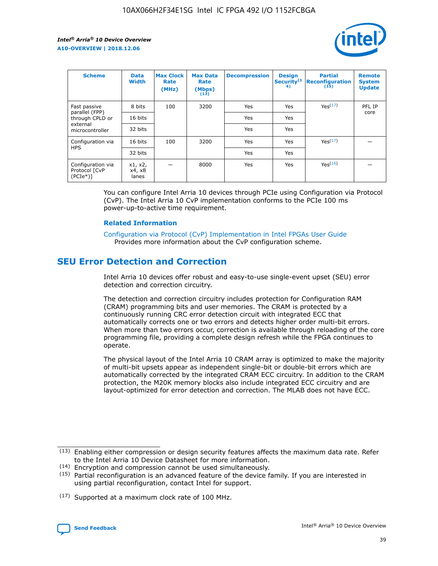

| <b>Scheme</b>                                   | <b>Data</b><br><b>Width</b> | <b>Max Clock</b><br>Rate<br>(MHz) | <b>Max Data</b><br>Rate<br>(Mbps)<br>(13) | <b>Decompression</b> | <b>Design</b><br>Security <sup>(1</sup><br>4) | <b>Partial</b><br><b>Reconfiguration</b><br>(15) | <b>Remote</b><br><b>System</b><br><b>Update</b> |
|-------------------------------------------------|-----------------------------|-----------------------------------|-------------------------------------------|----------------------|-----------------------------------------------|--------------------------------------------------|-------------------------------------------------|
| Fast passive                                    | 8 bits                      | 100                               | 3200                                      | Yes                  | Yes                                           | Yes(17)                                          | PFL IP                                          |
| parallel (FPP)<br>through CPLD or               | 16 bits                     |                                   |                                           | Yes                  | Yes                                           |                                                  | core                                            |
| external<br>microcontroller                     | 32 bits                     |                                   |                                           | Yes                  | Yes                                           |                                                  |                                                 |
| Configuration via                               | 16 bits                     | 100                               | 3200                                      | Yes                  | Yes                                           | Yes <sup>(17)</sup>                              |                                                 |
| <b>HPS</b>                                      | 32 bits                     |                                   |                                           | Yes                  | Yes                                           |                                                  |                                                 |
| Configuration via<br>Protocol [CvP<br>$(PCIe*)$ | x1, x2,<br>x4, x8<br>lanes  |                                   | 8000                                      | Yes                  | Yes                                           | Yes <sup>(16)</sup>                              |                                                 |

You can configure Intel Arria 10 devices through PCIe using Configuration via Protocol (CvP). The Intel Arria 10 CvP implementation conforms to the PCIe 100 ms power-up-to-active time requirement.

## **Related Information**

[Configuration via Protocol \(CvP\) Implementation in Intel FPGAs User Guide](https://www.intel.com/content/www/us/en/programmable/documentation/dsu1441819344145.html#dsu1442269728522) Provides more information about the CvP configuration scheme.

## **SEU Error Detection and Correction**

Intel Arria 10 devices offer robust and easy-to-use single-event upset (SEU) error detection and correction circuitry.

The detection and correction circuitry includes protection for Configuration RAM (CRAM) programming bits and user memories. The CRAM is protected by a continuously running CRC error detection circuit with integrated ECC that automatically corrects one or two errors and detects higher order multi-bit errors. When more than two errors occur, correction is available through reloading of the core programming file, providing a complete design refresh while the FPGA continues to operate.

The physical layout of the Intel Arria 10 CRAM array is optimized to make the majority of multi-bit upsets appear as independent single-bit or double-bit errors which are automatically corrected by the integrated CRAM ECC circuitry. In addition to the CRAM protection, the M20K memory blocks also include integrated ECC circuitry and are layout-optimized for error detection and correction. The MLAB does not have ECC.

(14) Encryption and compression cannot be used simultaneously.

<sup>(17)</sup> Supported at a maximum clock rate of 100 MHz.



 $(13)$  Enabling either compression or design security features affects the maximum data rate. Refer to the Intel Arria 10 Device Datasheet for more information.

 $(15)$  Partial reconfiguration is an advanced feature of the device family. If you are interested in using partial reconfiguration, contact Intel for support.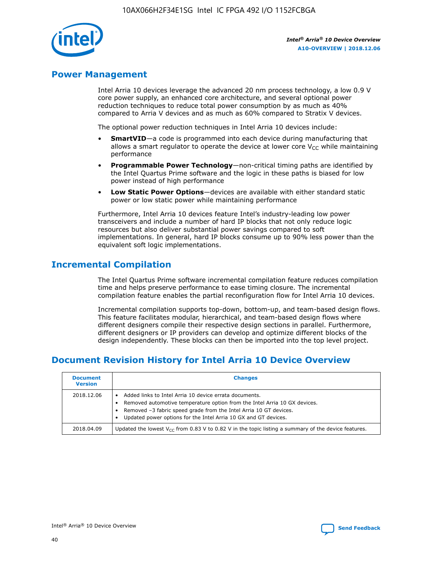

## **Power Management**

Intel Arria 10 devices leverage the advanced 20 nm process technology, a low 0.9 V core power supply, an enhanced core architecture, and several optional power reduction techniques to reduce total power consumption by as much as 40% compared to Arria V devices and as much as 60% compared to Stratix V devices.

The optional power reduction techniques in Intel Arria 10 devices include:

- **SmartVID**—a code is programmed into each device during manufacturing that allows a smart regulator to operate the device at lower core  $V_{CC}$  while maintaining performance
- **Programmable Power Technology**—non-critical timing paths are identified by the Intel Quartus Prime software and the logic in these paths is biased for low power instead of high performance
- **Low Static Power Options**—devices are available with either standard static power or low static power while maintaining performance

Furthermore, Intel Arria 10 devices feature Intel's industry-leading low power transceivers and include a number of hard IP blocks that not only reduce logic resources but also deliver substantial power savings compared to soft implementations. In general, hard IP blocks consume up to 90% less power than the equivalent soft logic implementations.

## **Incremental Compilation**

The Intel Quartus Prime software incremental compilation feature reduces compilation time and helps preserve performance to ease timing closure. The incremental compilation feature enables the partial reconfiguration flow for Intel Arria 10 devices.

Incremental compilation supports top-down, bottom-up, and team-based design flows. This feature facilitates modular, hierarchical, and team-based design flows where different designers compile their respective design sections in parallel. Furthermore, different designers or IP providers can develop and optimize different blocks of the design independently. These blocks can then be imported into the top level project.

# **Document Revision History for Intel Arria 10 Device Overview**

| <b>Document</b><br><b>Version</b> | <b>Changes</b>                                                                                                                                                                                                                                                              |
|-----------------------------------|-----------------------------------------------------------------------------------------------------------------------------------------------------------------------------------------------------------------------------------------------------------------------------|
| 2018.12.06                        | Added links to Intel Arria 10 device errata documents.<br>Removed automotive temperature option from the Intel Arria 10 GX devices.<br>Removed -3 fabric speed grade from the Intel Arria 10 GT devices.<br>Updated power options for the Intel Arria 10 GX and GT devices. |
| 2018.04.09                        | Updated the lowest $V_{CC}$ from 0.83 V to 0.82 V in the topic listing a summary of the device features.                                                                                                                                                                    |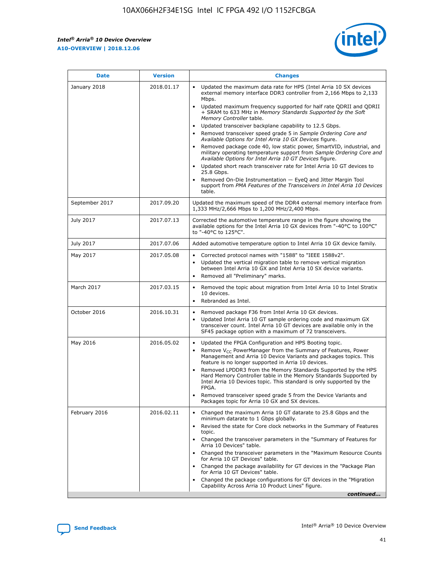*Intel® Arria® 10 Device Overview* **A10-OVERVIEW | 2018.12.06**



| <b>Date</b>    | <b>Version</b> | <b>Changes</b>                                                                                                                                                                                                                                                                                                                                                                                                                                                                                                                                                                                                                                                                                                                                                                                                                                                                                                                                                            |
|----------------|----------------|---------------------------------------------------------------------------------------------------------------------------------------------------------------------------------------------------------------------------------------------------------------------------------------------------------------------------------------------------------------------------------------------------------------------------------------------------------------------------------------------------------------------------------------------------------------------------------------------------------------------------------------------------------------------------------------------------------------------------------------------------------------------------------------------------------------------------------------------------------------------------------------------------------------------------------------------------------------------------|
| January 2018   | 2018.01.17     | Updated the maximum data rate for HPS (Intel Arria 10 SX devices<br>external memory interface DDR3 controller from 2,166 Mbps to 2,133<br>Mbps.<br>Updated maximum frequency supported for half rate QDRII and QDRII<br>+ SRAM to 633 MHz in Memory Standards Supported by the Soft<br>Memory Controller table.<br>Updated transceiver backplane capability to 12.5 Gbps.<br>$\bullet$<br>Removed transceiver speed grade 5 in Sample Ordering Core and<br>Available Options for Intel Arria 10 GX Devices figure.<br>Removed package code 40, low static power, SmartVID, industrial, and<br>military operating temperature support from Sample Ordering Core and<br>Available Options for Intel Arria 10 GT Devices figure.<br>Updated short reach transceiver rate for Intel Arria 10 GT devices to<br>25.8 Gbps.<br>Removed On-Die Instrumentation - EyeQ and Jitter Margin Tool<br>support from PMA Features of the Transceivers in Intel Arria 10 Devices<br>table. |
| September 2017 | 2017.09.20     | Updated the maximum speed of the DDR4 external memory interface from<br>1,333 MHz/2,666 Mbps to 1,200 MHz/2,400 Mbps.                                                                                                                                                                                                                                                                                                                                                                                                                                                                                                                                                                                                                                                                                                                                                                                                                                                     |
| July 2017      | 2017.07.13     | Corrected the automotive temperature range in the figure showing the<br>available options for the Intel Arria 10 GX devices from "-40°C to 100°C"<br>to "-40°C to 125°C".                                                                                                                                                                                                                                                                                                                                                                                                                                                                                                                                                                                                                                                                                                                                                                                                 |
| July 2017      | 2017.07.06     | Added automotive temperature option to Intel Arria 10 GX device family.                                                                                                                                                                                                                                                                                                                                                                                                                                                                                                                                                                                                                                                                                                                                                                                                                                                                                                   |
| May 2017       | 2017.05.08     | Corrected protocol names with "1588" to "IEEE 1588v2".<br>$\bullet$<br>Updated the vertical migration table to remove vertical migration<br>$\bullet$<br>between Intel Arria 10 GX and Intel Arria 10 SX device variants.<br>Removed all "Preliminary" marks.<br>$\bullet$                                                                                                                                                                                                                                                                                                                                                                                                                                                                                                                                                                                                                                                                                                |
| March 2017     | 2017.03.15     | Removed the topic about migration from Intel Arria 10 to Intel Stratix<br>10 devices.<br>Rebranded as Intel.<br>$\bullet$                                                                                                                                                                                                                                                                                                                                                                                                                                                                                                                                                                                                                                                                                                                                                                                                                                                 |
| October 2016   | 2016.10.31     | Removed package F36 from Intel Arria 10 GX devices.<br>Updated Intel Arria 10 GT sample ordering code and maximum GX<br>$\bullet$<br>transceiver count. Intel Arria 10 GT devices are available only in the<br>SF45 package option with a maximum of 72 transceivers.                                                                                                                                                                                                                                                                                                                                                                                                                                                                                                                                                                                                                                                                                                     |
| May 2016       | 2016.05.02     | Updated the FPGA Configuration and HPS Booting topic.<br>$\bullet$<br>Remove V <sub>CC</sub> PowerManager from the Summary of Features, Power<br>Management and Arria 10 Device Variants and packages topics. This<br>feature is no longer supported in Arria 10 devices.<br>Removed LPDDR3 from the Memory Standards Supported by the HPS<br>Hard Memory Controller table in the Memory Standards Supported by<br>Intel Arria 10 Devices topic. This standard is only supported by the<br>FPGA.<br>Removed transceiver speed grade 5 from the Device Variants and<br>Packages topic for Arria 10 GX and SX devices.                                                                                                                                                                                                                                                                                                                                                      |
| February 2016  | 2016.02.11     | Changed the maximum Arria 10 GT datarate to 25.8 Gbps and the<br>minimum datarate to 1 Gbps globally.<br>Revised the state for Core clock networks in the Summary of Features<br>$\bullet$<br>topic.<br>Changed the transceiver parameters in the "Summary of Features for<br>$\bullet$<br>Arria 10 Devices" table.<br>• Changed the transceiver parameters in the "Maximum Resource Counts<br>for Arria 10 GT Devices" table.<br>Changed the package availability for GT devices in the "Package Plan<br>for Arria 10 GT Devices" table.<br>Changed the package configurations for GT devices in the "Migration"<br>Capability Across Arria 10 Product Lines" figure.<br>continued                                                                                                                                                                                                                                                                                       |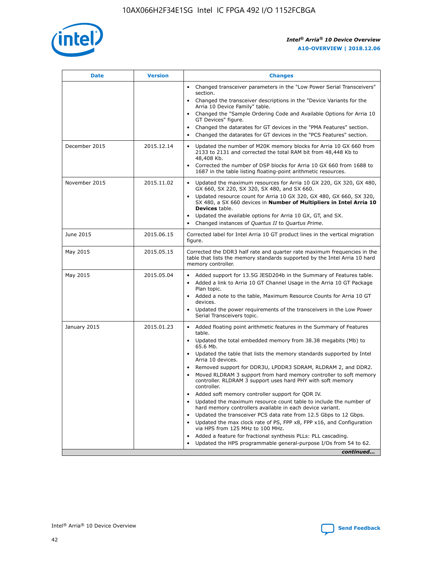

| <b>Date</b>   | <b>Version</b> | <b>Changes</b>                                                                                                                                                               |
|---------------|----------------|------------------------------------------------------------------------------------------------------------------------------------------------------------------------------|
|               |                | Changed transceiver parameters in the "Low Power Serial Transceivers"<br>section.                                                                                            |
|               |                | • Changed the transceiver descriptions in the "Device Variants for the<br>Arria 10 Device Family" table.                                                                     |
|               |                | Changed the "Sample Ordering Code and Available Options for Arria 10<br>GT Devices" figure.                                                                                  |
|               |                | Changed the datarates for GT devices in the "PMA Features" section.                                                                                                          |
|               |                | Changed the datarates for GT devices in the "PCS Features" section.<br>$\bullet$                                                                                             |
| December 2015 | 2015.12.14     | Updated the number of M20K memory blocks for Arria 10 GX 660 from<br>2133 to 2131 and corrected the total RAM bit from 48,448 Kb to<br>48,408 Kb.                            |
|               |                | Corrected the number of DSP blocks for Arria 10 GX 660 from 1688 to<br>$\bullet$<br>1687 in the table listing floating-point arithmetic resources.                           |
| November 2015 | 2015.11.02     | Updated the maximum resources for Arria 10 GX 220, GX 320, GX 480,<br>GX 660, SX 220, SX 320, SX 480, and SX 660.                                                            |
|               |                | Updated resource count for Arria 10 GX 320, GX 480, GX 660, SX 320,<br>SX 480, a SX 660 devices in Number of Multipliers in Intel Arria 10<br><b>Devices</b> table.          |
|               |                | Updated the available options for Arria 10 GX, GT, and SX.<br>$\bullet$                                                                                                      |
|               |                | Changed instances of Quartus II to Quartus Prime.<br>$\bullet$                                                                                                               |
| June 2015     | 2015.06.15     | Corrected label for Intel Arria 10 GT product lines in the vertical migration<br>figure.                                                                                     |
| May 2015      | 2015.05.15     | Corrected the DDR3 half rate and quarter rate maximum frequencies in the<br>table that lists the memory standards supported by the Intel Arria 10 hard<br>memory controller. |
| May 2015      | 2015.05.04     | Added support for 13.5G JESD204b in the Summary of Features table.<br>Added a link to Arria 10 GT Channel Usage in the Arria 10 GT Package                                   |
|               |                | Plan topic.                                                                                                                                                                  |
|               |                | • Added a note to the table, Maximum Resource Counts for Arria 10 GT<br>devices.                                                                                             |
|               |                | Updated the power requirements of the transceivers in the Low Power<br>Serial Transceivers topic.                                                                            |
| January 2015  | 2015.01.23     | • Added floating point arithmetic features in the Summary of Features<br>table.                                                                                              |
|               |                | Updated the total embedded memory from 38.38 megabits (Mb) to<br>$\bullet$<br>65.6 Mb.                                                                                       |
|               |                | • Updated the table that lists the memory standards supported by Intel<br>Arria 10 devices.                                                                                  |
|               |                | Removed support for DDR3U, LPDDR3 SDRAM, RLDRAM 2, and DDR2.                                                                                                                 |
|               |                | Moved RLDRAM 3 support from hard memory controller to soft memory<br>controller. RLDRAM 3 support uses hard PHY with soft memory<br>controller.                              |
|               |                | Added soft memory controller support for QDR IV.                                                                                                                             |
|               |                | Updated the maximum resource count table to include the number of<br>$\bullet$<br>hard memory controllers available in each device variant.                                  |
|               |                | Updated the transceiver PCS data rate from 12.5 Gbps to 12 Gbps.                                                                                                             |
|               |                | Updated the max clock rate of PS, FPP x8, FPP x16, and Configuration<br>via HPS from 125 MHz to 100 MHz.                                                                     |
|               |                | Added a feature for fractional synthesis PLLs: PLL cascading.                                                                                                                |
|               |                | Updated the HPS programmable general-purpose I/Os from 54 to 62.<br>$\bullet$                                                                                                |
|               |                | continued                                                                                                                                                                    |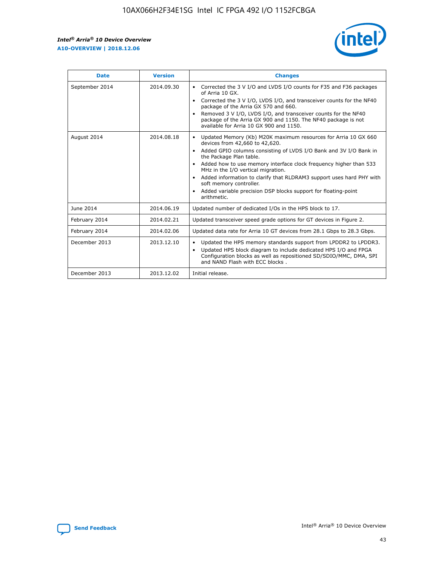

| <b>Date</b>    | <b>Version</b> | <b>Changes</b>                                                                                                                                                                                                                                                                                                                                                                                                                                                                                                                              |
|----------------|----------------|---------------------------------------------------------------------------------------------------------------------------------------------------------------------------------------------------------------------------------------------------------------------------------------------------------------------------------------------------------------------------------------------------------------------------------------------------------------------------------------------------------------------------------------------|
| September 2014 | 2014.09.30     | Corrected the 3 V I/O and LVDS I/O counts for F35 and F36 packages<br>$\bullet$<br>of Arria 10 GX.<br>Corrected the 3 V I/O, LVDS I/O, and transceiver counts for the NF40<br>$\bullet$<br>package of the Arria GX 570 and 660.<br>Removed 3 V I/O, LVDS I/O, and transceiver counts for the NF40<br>$\bullet$<br>package of the Arria GX 900 and 1150. The NF40 package is not<br>available for Arria 10 GX 900 and 1150.                                                                                                                  |
| August 2014    | 2014.08.18     | Updated Memory (Kb) M20K maximum resources for Arria 10 GX 660<br>devices from 42,660 to 42,620.<br>Added GPIO columns consisting of LVDS I/O Bank and 3V I/O Bank in<br>$\bullet$<br>the Package Plan table.<br>Added how to use memory interface clock frequency higher than 533<br>$\bullet$<br>MHz in the I/O vertical migration.<br>Added information to clarify that RLDRAM3 support uses hard PHY with<br>$\bullet$<br>soft memory controller.<br>Added variable precision DSP blocks support for floating-point<br>٠<br>arithmetic. |
| June 2014      | 2014.06.19     | Updated number of dedicated I/Os in the HPS block to 17.                                                                                                                                                                                                                                                                                                                                                                                                                                                                                    |
| February 2014  | 2014.02.21     | Updated transceiver speed grade options for GT devices in Figure 2.                                                                                                                                                                                                                                                                                                                                                                                                                                                                         |
| February 2014  | 2014.02.06     | Updated data rate for Arria 10 GT devices from 28.1 Gbps to 28.3 Gbps.                                                                                                                                                                                                                                                                                                                                                                                                                                                                      |
| December 2013  | 2013.12.10     | Updated the HPS memory standards support from LPDDR2 to LPDDR3.<br>Updated HPS block diagram to include dedicated HPS I/O and FPGA<br>$\bullet$<br>Configuration blocks as well as repositioned SD/SDIO/MMC, DMA, SPI<br>and NAND Flash with ECC blocks.                                                                                                                                                                                                                                                                                    |
| December 2013  | 2013.12.02     | Initial release.                                                                                                                                                                                                                                                                                                                                                                                                                                                                                                                            |